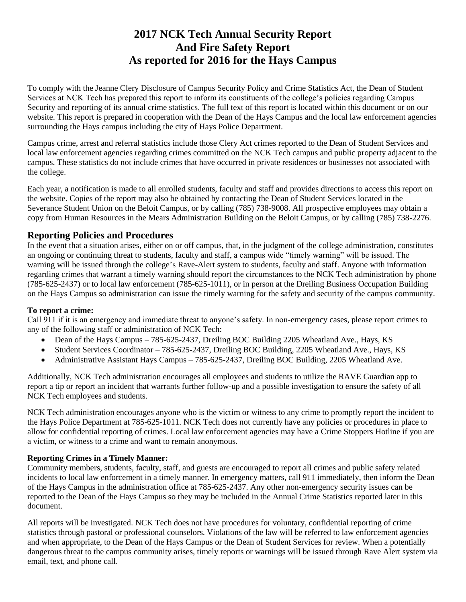# **2017 NCK Tech Annual Security Report And Fire Safety Report As reported for 2016 for the Hays Campus**

To comply with the Jeanne Clery Disclosure of Campus Security Policy and Crime Statistics Act, the Dean of Student Services at NCK Tech has prepared this report to inform its constituents of the college's policies regarding Campus Security and reporting of its annual crime statistics. The full text of this report is located within this document or on our website. This report is prepared in cooperation with the Dean of the Hays Campus and the local law enforcement agencies surrounding the Hays campus including the city of Hays Police Department.

Campus crime, arrest and referral statistics include those Clery Act crimes reported to the Dean of Student Services and local law enforcement agencies regarding crimes committed on the NCK Tech campus and public property adjacent to the campus. These statistics do not include crimes that have occurred in private residences or businesses not associated with the college.

Each year, a notification is made to all enrolled students, faculty and staff and provides directions to access this report on the website. Copies of the report may also be obtained by contacting the Dean of Student Services located in the Severance Student Union on the Beloit Campus, or by calling (785) 738-9008. All prospective employees may obtain a copy from Human Resources in the Mears Administration Building on the Beloit Campus, or by calling (785) 738-2276.

## **Reporting Policies and Procedures**

In the event that a situation arises, either on or off campus, that, in the judgment of the college administration, constitutes an ongoing or continuing threat to students, faculty and staff, a campus wide "timely warning" will be issued. The warning will be issued through the college's Rave-Alert system to students, faculty and staff. Anyone with information regarding crimes that warrant a timely warning should report the circumstances to the NCK Tech administration by phone (785-625-2437) or to local law enforcement (785-625-1011), or in person at the Dreiling Business Occupation Building on the Hays Campus so administration can issue the timely warning for the safety and security of the campus community.

#### **To report a crime:**

Call 911 if it is an emergency and immediate threat to anyone's safety. In non-emergency cases, please report crimes to any of the following staff or administration of NCK Tech:

- Dean of the Hays Campus 785-625-2437, Dreiling BOC Building 2205 Wheatland Ave., Hays, KS
- Student Services Coordinator 785-625-2437, Dreiling BOC Building, 2205 Wheatland Ave., Hays, KS
- Administrative Assistant Hays Campus 785-625-2437, Dreiling BOC Building, 2205 Wheatland Ave.

Additionally, NCK Tech administration encourages all employees and students to utilize the RAVE Guardian app to report a tip or report an incident that warrants further follow-up and a possible investigation to ensure the safety of all NCK Tech employees and students.

NCK Tech administration encourages anyone who is the victim or witness to any crime to promptly report the incident to the Hays Police Department at 785-625-1011. NCK Tech does not currently have any policies or procedures in place to allow for confidential reporting of crimes. Local law enforcement agencies may have a Crime Stoppers Hotline if you are a victim, or witness to a crime and want to remain anonymous.

#### **Reporting Crimes in a Timely Manner:**

Community members, students, faculty, staff, and guests are encouraged to report all crimes and public safety related incidents to local law enforcement in a timely manner. In emergency matters, call 911 immediately, then inform the Dean of the Hays Campus in the administration office at 785-625-2437. Any other non-emergency security issues can be reported to the Dean of the Hays Campus so they may be included in the Annual Crime Statistics reported later in this document.

All reports will be investigated. NCK Tech does not have procedures for voluntary, confidential reporting of crime statistics through pastoral or professional counselors. Violations of the law will be referred to law enforcement agencies and when appropriate, to the Dean of the Hays Campus or the Dean of Student Services for review. When a potentially dangerous threat to the campus community arises, timely reports or warnings will be issued through Rave Alert system via email, text, and phone call.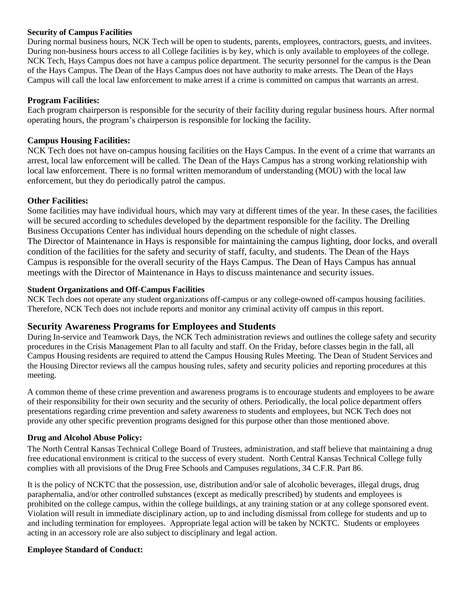#### **Security of Campus Facilities**

During normal business hours, NCK Tech will be open to students, parents, employees, contractors, guests, and invitees. During non-business hours access to all College facilities is by key, which is only available to employees of the college. NCK Tech, Hays Campus does not have a campus police department. The security personnel for the campus is the Dean of the Hays Campus. The Dean of the Hays Campus does not have authority to make arrests. The Dean of the Hays Campus will call the local law enforcement to make arrest if a crime is committed on campus that warrants an arrest.

#### **Program Facilities:**

Each program chairperson is responsible for the security of their facility during regular business hours. After normal operating hours, the program's chairperson is responsible for locking the facility.

#### **Campus Housing Facilities:**

NCK Tech does not have on-campus housing facilities on the Hays Campus. In the event of a crime that warrants an arrest, local law enforcement will be called. The Dean of the Hays Campus has a strong working relationship with local law enforcement. There is no formal written memorandum of understanding (MOU) with the local law enforcement, but they do periodically patrol the campus.

#### **Other Facilities:**

Some facilities may have individual hours, which may vary at different times of the year. In these cases, the facilities will be secured according to schedules developed by the department responsible for the facility. The Dreiling Business Occupations Center has individual hours depending on the schedule of night classes. The Director of Maintenance in Hays is responsible for maintaining the campus lighting, door locks, and overall condition of the facilities for the safety and security of staff, faculty, and students. The Dean of the Hays Campus is responsible for the overall security of the Hays Campus. The Dean of Hays Campus has annual meetings with the Director of Maintenance in Hays to discuss maintenance and security issues.

#### **Student Organizations and Off-Campus Facilities**

NCK Tech does not operate any student organizations off-campus or any college-owned off-campus housing facilities. Therefore, NCK Tech does not include reports and monitor any criminal activity off campus in this report.

#### **Security Awareness Programs for Employees and Students**

During In-service and Teamwork Days, the NCK Tech administration reviews and outlines the college safety and security procedures in the Crisis Management Plan to all faculty and staff. On the Friday, before classes begin in the fall, all Campus Housing residents are required to attend the Campus Housing Rules Meeting. The Dean of Student Services and the Housing Director reviews all the campus housing rules, safety and security policies and reporting procedures at this meeting.

A common theme of these crime prevention and awareness programs is to encourage students and employees to be aware of their responsibility for their own security and the security of others. Periodically, the local police department offers presentations regarding crime prevention and safety awareness to students and employees, but NCK Tech does not provide any other specific prevention programs designed for this purpose other than those mentioned above.

#### **Drug and Alcohol Abuse Policy:**

The North Central Kansas Technical College Board of Trustees, administration, and staff believe that maintaining a drug free educational environment is critical to the success of every student. North Central Kansas Technical College fully complies with all provisions of the Drug Free Schools and Campuses regulations, 34 C.F.R. Part 86.

It is the policy of NCKTC that the possession, use, distribution and/or sale of alcoholic beverages, illegal drugs, drug paraphernalia, and/or other controlled substances (except as medically prescribed) by students and employees is prohibited on the college campus, within the college buildings, at any training station or at any college sponsored event. Violation will result in immediate disciplinary action, up to and including dismissal from college for students and up to and including termination for employees. Appropriate legal action will be taken by NCKTC. Students or employees acting in an accessory role are also subject to disciplinary and legal action.

#### **Employee Standard of Conduct:**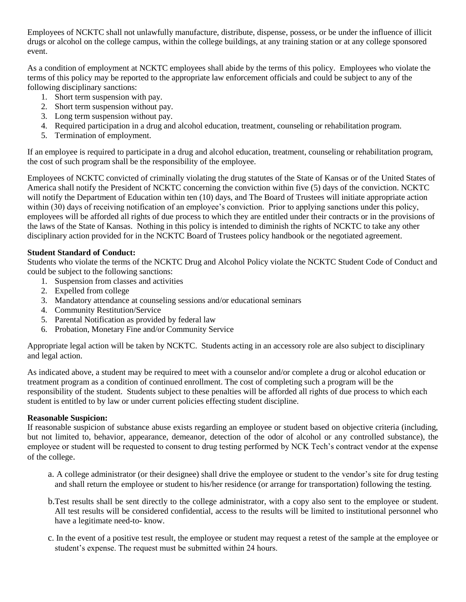Employees of NCKTC shall not unlawfully manufacture, distribute, dispense, possess, or be under the influence of illicit drugs or alcohol on the college campus, within the college buildings, at any training station or at any college sponsored event.

As a condition of employment at NCKTC employees shall abide by the terms of this policy. Employees who violate the terms of this policy may be reported to the appropriate law enforcement officials and could be subject to any of the following disciplinary sanctions:

- 1. Short term suspension with pay.
- 2. Short term suspension without pay.
- 3. Long term suspension without pay.
- 4. Required participation in a drug and alcohol education, treatment, counseling or rehabilitation program.
- 5. Termination of employment.

If an employee is required to participate in a drug and alcohol education, treatment, counseling or rehabilitation program, the cost of such program shall be the responsibility of the employee.

Employees of NCKTC convicted of criminally violating the drug statutes of the State of Kansas or of the United States of America shall notify the President of NCKTC concerning the conviction within five (5) days of the conviction. NCKTC will notify the Department of Education within ten (10) days, and The Board of Trustees will initiate appropriate action within (30) days of receiving notification of an employee's conviction. Prior to applying sanctions under this policy, employees will be afforded all rights of due process to which they are entitled under their contracts or in the provisions of the laws of the State of Kansas. Nothing in this policy is intended to diminish the rights of NCKTC to take any other disciplinary action provided for in the NCKTC Board of Trustees policy handbook or the negotiated agreement.

#### **Student Standard of Conduct:**

Students who violate the terms of the NCKTC Drug and Alcohol Policy violate the NCKTC Student Code of Conduct and could be subject to the following sanctions:

- 1. Suspension from classes and activities
- 2. Expelled from college
- 3. Mandatory attendance at counseling sessions and/or educational seminars
- 4. Community Restitution/Service
- 5. Parental Notification as provided by federal law
- 6. Probation, Monetary Fine and/or Community Service

Appropriate legal action will be taken by NCKTC. Students acting in an accessory role are also subject to disciplinary and legal action.

As indicated above, a student may be required to meet with a counselor and/or complete a drug or alcohol education or treatment program as a condition of continued enrollment. The cost of completing such a program will be the responsibility of the student. Students subject to these penalties will be afforded all rights of due process to which each student is entitled to by law or under current policies effecting student discipline.

#### **Reasonable Suspicion:**

If reasonable suspicion of substance abuse exists regarding an employee or student based on objective criteria (including, but not limited to, behavior, appearance, demeanor, detection of the odor of alcohol or any controlled substance), the employee or student will be requested to consent to drug testing performed by NCK Tech's contract vendor at the expense of the college.

- a. A college administrator (or their designee) shall drive the employee or student to the vendor's site for drug testing and shall return the employee or student to his/her residence (or arrange for transportation) following the testing.
- b.Test results shall be sent directly to the college administrator, with a copy also sent to the employee or student. All test results will be considered confidential, access to the results will be limited to institutional personnel who have a legitimate need-to- know.
- c. In the event of a positive test result, the employee or student may request a retest of the sample at the employee or student's expense. The request must be submitted within 24 hours.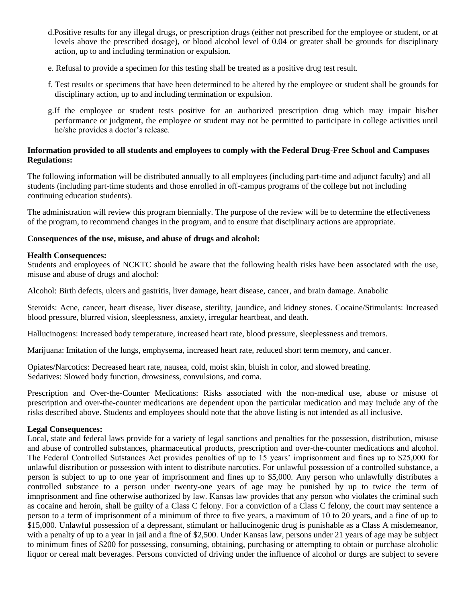- d.Positive results for any illegal drugs, or prescription drugs (either not prescribed for the employee or student, or at levels above the prescribed dosage), or blood alcohol level of 0.04 or greater shall be grounds for disciplinary action, up to and including termination or expulsion.
- e. Refusal to provide a specimen for this testing shall be treated as a positive drug test result.
- f. Test results or specimens that have been determined to be altered by the employee or student shall be grounds for disciplinary action, up to and including termination or expulsion.
- g.If the employee or student tests positive for an authorized prescription drug which may impair his/her performance or judgment, the employee or student may not be permitted to participate in college activities until he/she provides a doctor's release.

#### **Information provided to all students and employees to comply with the Federal Drug-Free School and Campuses Regulations:**

The following information will be distributed annually to all employees (including part-time and adjunct faculty) and all students (including part-time students and those enrolled in off-campus programs of the college but not including continuing education students).

The administration will review this program biennially. The purpose of the review will be to determine the effectiveness of the program, to recommend changes in the program, and to ensure that disciplinary actions are appropriate.

#### **Consequences of the use, misuse, and abuse of drugs and alcohol:**

#### **Health Consequences:**

Students and employees of NCKTC should be aware that the following health risks have been associated with the use, misuse and abuse of drugs and alochol:

Alcohol: Birth defects, ulcers and gastritis, liver damage, heart disease, cancer, and brain damage. Anabolic

Steroids: Acne, cancer, heart disease, liver disease, sterility, jaundice, and kidney stones. Cocaine/Stimulants: Increased blood pressure, blurred vision, sleeplessness, anxiety, irregular heartbeat, and death.

Hallucinogens: Increased body temperature, increased heart rate, blood pressure, sleeplessness and tremors.

Marijuana: Imitation of the lungs, emphysema, increased heart rate, reduced short term memory, and cancer.

Opiates/Narcotics: Decreased heart rate, nausea, cold, moist skin, bluish in color, and slowed breating. Sedatives: Slowed body function, drowsiness, convulsions, and coma.

Prescription and Over-the-Counter Medications: Risks associated with the non-medical use, abuse or misuse of prescription and over-the-counter medications are dependent upon the particular medication and may include any of the risks described above. Students and employees should note that the above listing is not intended as all inclusive.

#### **Legal Consequences:**

Local, state and federal laws provide for a variety of legal sanctions and penalties for the possession, distribution, misuse and abuse of controlled substances, pharmaceutical products, prescription and over-the-counter medications and alcohol. The Federal Controlled Sutstances Act provides penalties of up to 15 years' imprisonment and fines up to \$25,000 for unlawful distribution or possession with intent to distribute narcotics. For unlawful possession of a controlled substance, a person is subject to up to one year of imprisonment and fines up to \$5,000. Any person who unlawfully distributes a controlled substance to a person under twenty-one years of age may be punished by up to twice the term of imnprisonment and fine otherwise authorized by law. Kansas law provides that any person who violates the criminal such as cocaine and heroin, shall be guilty of a Class C felony. For a conviction of a Class C felony, the court may sentence a person to a term of imprisonment of a minimum of three to five years, a maximum of 10 to 20 years, and a fine of up to \$15,000. Unlawful possession of a depressant, stimulant or hallucinogenic drug is punishable as a Class A misdemeanor, with a penalty of up to a year in jail and a fine of \$2,500. Under Kansas law, persons under 21 years of age may be subject to minimum fines of \$200 for possessing, consuming, obtaining, purchasing or attempting to obtain or purchase alcoholic liquor or cereal malt beverages. Persons convicted of driving under the influence of alcohol or durgs are subject to severe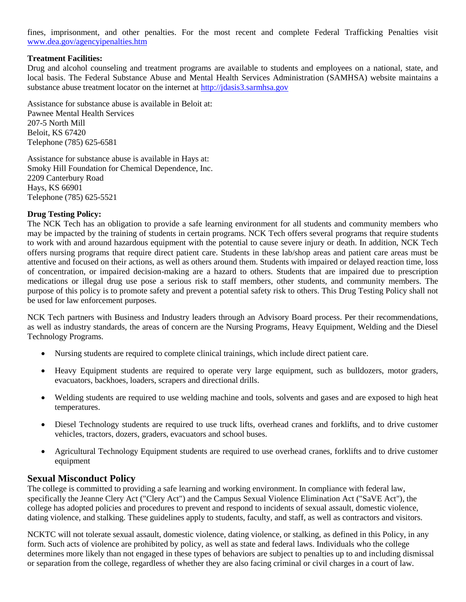fines, imprisonment, and other penalties. For the most recent and complete Federal Trafficking Penalties visit [www.dea.gov/agencyipenalties.htm](http://www.dea.gov/agencyipenalties.htm)

#### **Treatment Facilities:**

Drug and alcohol counseling and treatment programs are available to students and employees on a national, state, and local basis. The Federal Substance Abuse and Mental Health Services Administration (SAMHSA) website maintains a substance abuse treatment locator on the internet at [http://jdasis3.sarmhsa.gov](http://jdasis3.sarmhsa.gov/)

Assistance for substance abuse is available in Beloit at: Pawnee Mental Health Services 207-5 North Mill Beloit, KS 67420 Telephone (785) 625-6581

Assistance for substance abuse is available in Hays at: Smoky Hill Foundation for Chemical Dependence, Inc. 2209 Canterbury Road Hays, KS 66901 Telephone (785) 625-5521

#### **Drug Testing Policy:**

The NCK Tech has an obligation to provide a safe learning environment for all students and community members who may be impacted by the training of students in certain programs. NCK Tech offers several programs that require students to work with and around hazardous equipment with the potential to cause severe injury or death. In addition, NCK Tech offers nursing programs that require direct patient care. Students in these lab/shop areas and patient care areas must be attentive and focused on their actions, as well as others around them. Students with impaired or delayed reaction time, loss of concentration, or impaired decision-making are a hazard to others. Students that are impaired due to prescription medications or illegal drug use pose a serious risk to staff members, other students, and community members. The purpose of this policy is to promote safety and prevent a potential safety risk to others. This Drug Testing Policy shall not be used for law enforcement purposes.

NCK Tech partners with Business and Industry leaders through an Advisory Board process. Per their recommendations, as well as industry standards, the areas of concern are the Nursing Programs, Heavy Equipment, Welding and the Diesel Technology Programs.

- Nursing students are required to complete clinical trainings, which include direct patient care.
- Heavy Equipment students are required to operate very large equipment, such as bulldozers, motor graders, evacuators, backhoes, loaders, scrapers and directional drills.
- Welding students are required to use welding machine and tools, solvents and gases and are exposed to high heat temperatures.
- Diesel Technology students are required to use truck lifts, overhead cranes and forklifts, and to drive customer vehicles, tractors, dozers, graders, evacuators and school buses.
- Agricultural Technology Equipment students are required to use overhead cranes, forklifts and to drive customer equipment

#### **Sexual Misconduct Policy**

The college is committed to providing a safe learning and working environment. In compliance with federal law, specifically the Jeanne Clery Act ("Clery Act") and the Campus Sexual Violence Elimination Act ("SaVE Act"), the college has adopted policies and procedures to prevent and respond to incidents of sexual assault, domestic violence, dating violence, and stalking. These guidelines apply to students, faculty, and staff, as well as contractors and visitors.

NCKTC will not tolerate sexual assault, domestic violence, dating violence, or stalking, as defined in this Policy, in any form. Such acts of violence are prohibited by policy, as well as state and federal laws. Individuals who the college determines more likely than not engaged in these types of behaviors are subject to penalties up to and including dismissal or separation from the college, regardless of whether they are also facing criminal or civil charges in a court of law.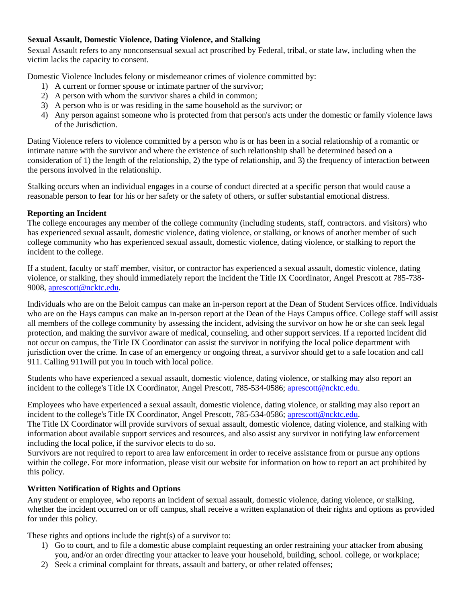### **Sexual Assault, Domestic Violence, Dating Violence, and Stalking**

Sexual Assault refers to any nonconsensual sexual act proscribed by Federal, tribal, or state law, including when the victim lacks the capacity to consent.

Domestic Violence Includes felony or misdemeanor crimes of violence committed by:

- 1) A current or former spouse or intimate partner of the survivor;
- 2) A person with whom the survivor shares a child in common;
- 3) A person who is or was residing in the same household as the survivor; or
- 4) Any person against someone who is protected from that person's acts under the domestic or family violence laws of the Jurisdiction.

Dating Violence refers to violence committed by a person who is or has been in a social relationship of a romantic or intimate nature with the survivor and where the existence of such relationship shall be determined based on a consideration of 1) the length of the relationship, 2) the type of relationship, and 3) the frequency of interaction between the persons involved in the relationship.

Stalking occurs when an individual engages in a course of conduct directed at a specific person that would cause a reasonable person to fear for his or her safety or the safety of others, or suffer substantial emotional distress.

## **Reporting an Incident**

The college encourages any member of the college community (including students, staff, contractors. and visitors) who has experienced sexual assault, domestic violence, dating violence, or stalking, or knows of another member of such college community who has experienced sexual assault, domestic violence, dating violence, or stalking to report the incident to the college.

If a student, faculty or staff member, visitor, or contractor has experienced a sexual assault, domestic violence, dating violence, or stalking, they should immediately report the incident the Title IX Coordinator, Angel Prescott at 785-738- 9008, [aprescott@ncktc.edu.](mailto:aprescott@ncktc.edu)

Individuals who are on the Beloit campus can make an in-person report at the Dean of Student Services office. Individuals who are on the Hays campus can make an in-person report at the Dean of the Hays Campus office. College staff will assist all members of the college community by assessing the incident, advising the survivor on how he or she can seek legal protection, and making the survivor aware of medical, counseling, and other support services. If a reported incident did not occur on campus, the Title IX Coordinator can assist the survivor in notifying the local police department with jurisdiction over the crime. In case of an emergency or ongoing threat, a survivor should get to a safe location and call 911. Calling 911will put you in touch with local police.

Students who have experienced a sexual assault, domestic violence, dating violence, or stalking may also report an incident to the college's Title IX Coordinator, Angel Prescott, 785-534-0586[; aprescott@ncktc.edu.](mailto:aprescott@ncktc.edu)

Employees who have experienced a sexual assault, domestic violence, dating violence, or stalking may also report an incident to the college's Title IX Coordinator, Angel Prescott, 785-534-0586[; aprescott@ncktc.edu.](mailto:aprescott@ncktc.edu)

The Title IX Coordinator will provide survivors of sexual assault, domestic violence, dating violence, and stalking with information about available support services and resources, and also assist any survivor in notifying law enforcement including the local police, if the survivor elects to do so.

Survivors are not required to report to area law enforcement in order to receive assistance from or pursue any options within the college. For more information, please visit our website for information on how to report an act prohibited by this policy.

## **Written Notification of Rights and Options**

Any student or employee, who reports an incident of sexual assault, domestic violence, dating violence, or stalking, whether the incident occurred on or off campus, shall receive a written explanation of their rights and options as provided for under this policy.

These rights and options include the right(s) of a survivor to:

- 1) Go to court, and to file a domestic abuse complaint requesting an order restraining your attacker from abusing you, and/or an order directing your attacker to leave your household, building, school. college, or workplace;
- 2) Seek a criminal complaint for threats, assault and battery, or other related offenses;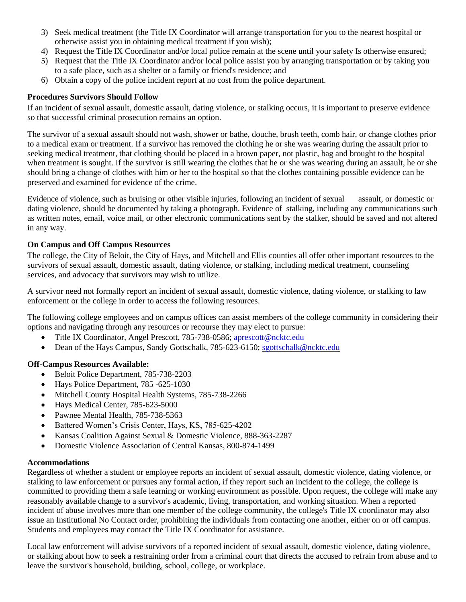- 3) Seek medical treatment (the Title IX Coordinator will arrange transportation for you to the nearest hospital or otherwise assist you in obtaining medical treatment if you wish);
- 4) Request the Title IX Coordinator and/or local police remain at the scene until your safety Is otherwise ensured;
- 5) Request that the Title IX Coordinator and/or local police assist you by arranging transportation or by taking you to a safe place, such as a shelter or a family or friend's residence; and
- 6) Obtain a copy of the police incident report at no cost from the police department.

### **Procedures Survivors Should Follow**

If an incident of sexual assault, domestic assault, dating violence, or stalking occurs, it is important to preserve evidence so that successful criminal prosecution remains an option.

The survivor of a sexual assault should not wash, shower or bathe, douche, brush teeth, comb hair, or change clothes prior to a medical exam or treatment. If a survivor has removed the clothing he or she was wearing during the assault prior to seeking medical treatment, that clothing should be placed in a brown paper, not plastic, bag and brought to the hospital when treatment is sought. If the survivor is still wearing the clothes that he or she was wearing during an assault, he or she should bring a change of clothes with him or her to the hospital so that the clothes containing possible evidence can be preserved and examined for evidence of the crime.

Evidence of violence, such as bruising or other visible injuries, following an incident of sexual assault, or domestic or dating violence, should be documented by taking a photograph. Evidence of stalking, including any communications such as written notes, email, voice mail, or other electronic communications sent by the stalker, should be saved and not altered in any way.

## **On Campus and Off Campus Resources**

The college, the City of Beloit, the City of Hays, and Mitchell and Ellis counties all offer other important resources to the survivors of sexual assault, domestic assault, dating violence, or stalking, including medical treatment, counseling services, and advocacy that survivors may wish to utilize.

A survivor need not formally report an incident of sexual assault, domestic violence, dating violence, or stalking to law enforcement or the college in order to access the following resources.

The following college employees and on campus offices can assist members of the college community in considering their options and navigating through any resources or recourse they may elect to pursue:

- Title IX Coordinator, Angel Prescott, 785-738-0586; [aprescott@ncktc.edu](mailto:aprescott@ncktc.edu)
- Dean of the Hays Campus, Sandy Gottschalk, 785-623-6150; [sgottschalk@ncktc.edu](mailto:sgottschalk@ncktc.edu)

#### **Off-Campus Resources Available:**

- Beloit Police Department, 785-738-2203
- Hays Police Department, 785 -625-1030
- Mitchell County Hospital Health Systems, 785-738-2266
- Hays Medical Center, 785-623-5000
- Pawnee Mental Health, 785-738-5363
- Battered Women's Crisis Center, Hays, KS, 785-625-4202
- Kansas Coalition Against Sexual & Domestic Violence, 888-363-2287
- Domestic Violence Association of Central Kansas, 800-874-1499

#### **Accommodations**

Regardless of whether a student or employee reports an incident of sexual assault, domestic violence, dating violence, or stalking to law enforcement or pursues any formal action, if they report such an incident to the college, the college is committed to providing them a safe learning or working environment as possible. Upon request, the college will make any reasonably available change to a survivor's academic, living, transportation, and working situation. When a reported incident of abuse involves more than one member of the college community, the college's Title IX coordinator may also issue an Institutional No Contact order, prohibiting the individuals from contacting one another, either on or off campus. Students and employees may contact the Title IX Coordinator for assistance.

Local law enforcement will advise survivors of a reported incident of sexual assault, domestic violence, dating violence, or stalking about how to seek a restraining order from a criminal court that directs the accused to refrain from abuse and to leave the survivor's household, building, school, college, or workplace.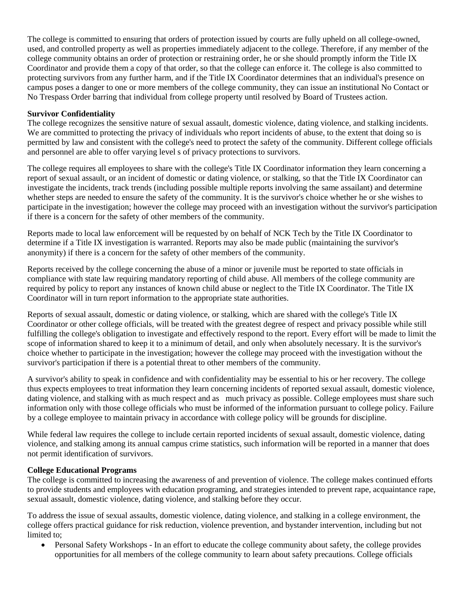The college is committed to ensuring that orders of protection issued by courts are fully upheld on all college-owned, used, and controlled property as well as properties immediately adjacent to the college. Therefore, if any member of the college community obtains an order of protection or restraining order, he or she should promptly inform the Title IX Coordinator and provide them a copy of that order, so that the college can enforce it. The college is also committed to protecting survivors from any further harm, and if the Title IX Coordinator determines that an individual's presence on campus poses a danger to one or more members of the college community, they can issue an institutional No Contact or No Trespass Order barring that individual from college property until resolved by Board of Trustees action.

#### **Survivor Confidentiality**

The college recognizes the sensitive nature of sexual assault, domestic violence, dating violence, and stalking incidents. We are committed to protecting the privacy of individuals who report incidents of abuse, to the extent that doing so is permitted by law and consistent with the college's need to protect the safety of the community. Different college officials and personnel are able to offer varying level s of privacy protections to survivors.

The college requires all employees to share with the college's Title IX Coordinator information they learn concerning a report of sexual assault, or an incident of domestic or dating violence, or stalking, so that the Title IX Coordinator can investigate the incidents, track trends (including possible multiple reports involving the same assailant) and determine whether steps are needed to ensure the safety of the community. It is the survivor's choice whether he or she wishes to participate in the investigation; however the college may proceed with an investigation without the survivor's participation if there is a concern for the safety of other members of the community.

Reports made to local law enforcement will be requested by on behalf of NCK Tech by the Title IX Coordinator to determine if a Title IX investigation is warranted. Reports may also be made public (maintaining the survivor's anonymity) if there is a concern for the safety of other members of the community.

Reports received by the college concerning the abuse of a minor or juvenile must be reported to state officials in compliance with state law requiring mandatory reporting of child abuse. All members of the college community are required by policy to report any instances of known child abuse or neglect to the Title IX Coordinator. The Title IX Coordinator will in turn report information to the appropriate state authorities.

Reports of sexual assault, domestic or dating violence, or stalking, which are shared with the college's Title IX Coordinator or other college officials, will be treated with the greatest degree of respect and privacy possible while still fulfilling the college's obligation to investigate and effectively respond to the report. Every effort will be made to limit the scope of information shared to keep it to a minimum of detail, and only when absolutely necessary. It is the survivor's choice whether to participate in the investigation; however the college may proceed with the investigation without the survivor's participation if there is a potential threat to other members of the community.

A survivor's ability to speak in confidence and with confidentiality may be essential to his or her recovery. The college thus expects employees to treat information they learn concerning incidents of reported sexual assault, domestic violence, dating violence, and stalking with as much respect and as much privacy as possible. College employees must share such information only with those college officials who must be informed of the information pursuant to college policy. Failure by a college employee to maintain privacy in accordance with college policy will be grounds for discipline.

While federal law requires the college to include certain reported incidents of sexual assault, domestic violence, dating violence, and stalking among its annual campus crime statistics, such information will be reported in a manner that does not permit identification of survivors.

#### **College Educational Programs**

The college is committed to increasing the awareness of and prevention of violence. The college makes continued efforts to provide students and employees with education programing, and strategies intended to prevent rape, acquaintance rape, sexual assault, domestic violence, dating violence, and stalking before they occur.

To address the issue of sexual assaults, domestic violence, dating violence, and stalking in a college environment, the college offers practical guidance for risk reduction, violence prevention, and bystander intervention, including but not limited to;

 Personal Safety Workshops - In an effort to educate the college community about safety, the college provides opportunities for all members of the college community to learn about safety precautions. College officials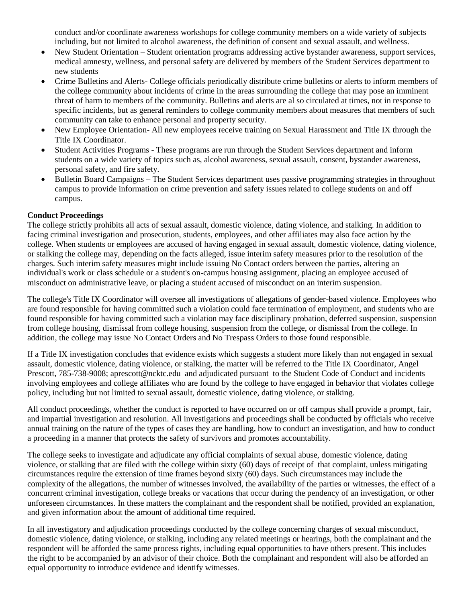conduct and/or coordinate awareness workshops for college community members on a wide variety of subjects including, but not limited to alcohol awareness, the definition of consent and sexual assault, and wellness.

- New Student Orientation Student orientation programs addressing active bystander awareness, support services, medical amnesty, wellness, and personal safety are delivered by members of the Student Services department to new students
- Crime Bulletins and Alerts- College officials periodically distribute crime bulletins or alerts to inform members of the college community about incidents of crime in the areas surrounding the college that may pose an imminent threat of harm to members of the community. Bulletins and alerts are al so circulated at times, not in response to specific incidents, but as general reminders to college community members about measures that members of such community can take to enhance personal and property security.
- New Employee Orientation- All new employees receive training on Sexual Harassment and Title IX through the Title IX Coordinator.
- Student Activities Programs These programs are run through the Student Services department and inform students on a wide variety of topics such as, alcohol awareness, sexual assault, consent, bystander awareness, personal safety, and fire safety.
- Bulletin Board Campaigns The Student Services department uses passive programming strategies in throughout campus to provide information on crime prevention and safety issues related to college students on and off campus.

#### **Conduct Proceedings**

The college strictly prohibits all acts of sexual assault, domestic violence, dating violence, and stalking. In addition to facing criminal investigation and prosecution, students, employees, and other affiliates may also face action by the college. When students or employees are accused of having engaged in sexual assault, domestic violence, dating violence, or stalking the college may, depending on the facts alleged, issue interim safety measures prior to the resolution of the charges. Such interim safety measures might include issuing No Contact orders between the parties, altering an individual's work or class schedule or a student's on-campus housing assignment, placing an employee accused of misconduct on administrative leave, or placing a student accused of misconduct on an interim suspension.

The college's Title IX Coordinator will oversee all investigations of allegations of gender-based violence. Employees who are found responsible for having committed such a violation could face termination of employment, and students who are found responsible for having committed such a violation may face disciplinary probation, deferred suspension, suspension from college housing, dismissal from college housing, suspension from the college, or dismissal from the college. In addition, the college may issue No Contact Orders and No Trespass Orders to those found responsible.

If a Title IX investigation concludes that evidence exists which suggests a student more likely than not engaged in sexual assault, domestic violence, dating violence, or stalking, the matter will be referred to the Title IX Coordinator, Angel Prescott, 785-738-9008; aprescott@ncktc.edu and adjudicated pursuant to the Student Code of Conduct and incidents involving employees and college affiliates who are found by the college to have engaged in behavior that violates college policy, including but not limited to sexual assault, domestic violence, dating violence, or stalking.

All conduct proceedings, whether the conduct is reported to have occurred on or off campus shall provide a prompt, fair, and impartial investigation and resolution. All investigations and proceedings shall be conducted by officials who receive annual training on the nature of the types of cases they are handling, how to conduct an investigation, and how to conduct a proceeding in a manner that protects the safety of survivors and promotes accountability.

The college seeks to investigate and adjudicate any official complaints of sexual abuse, domestic violence, dating violence, or stalking that are filed with the college within sixty (60) days of receipt of that complaint, unless mitigating circumstances require the extension of time frames beyond sixty (60) days. Such circumstances may include the complexity of the allegations, the number of witnesses involved, the availability of the parties or witnesses, the effect of a concurrent criminal investigation, college breaks or vacations that occur during the pendency of an investigation, or other unforeseen circumstances. In these matters the complainant and the respondent shall be notified, provided an explanation, and given information about the amount of additional time required.

In all investigatory and adjudication proceedings conducted by the college concerning charges of sexual misconduct, domestic violence, dating violence, or stalking, including any related meetings or hearings, both the complainant and the respondent will be afforded the same process rights, including equal opportunities to have others present. This includes the right to be accompanied by an advisor of their choice. Both the complainant and respondent will also be afforded an equal opportunity to introduce evidence and identify witnesses.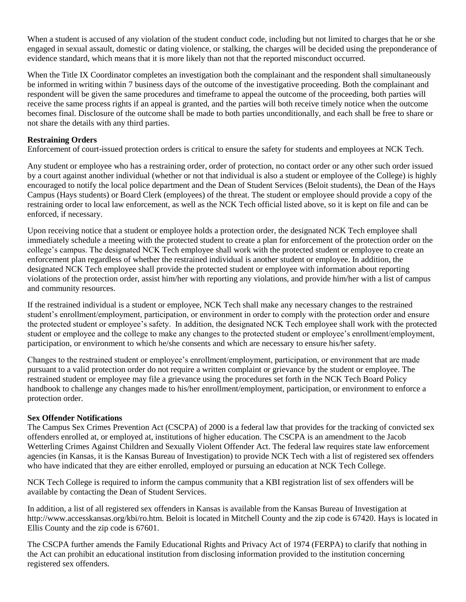When a student is accused of any violation of the student conduct code, including but not limited to charges that he or she engaged in sexual assault, domestic or dating violence, or stalking, the charges will be decided using the preponderance of evidence standard, which means that it is more likely than not that the reported misconduct occurred.

When the Title IX Coordinator completes an investigation both the complainant and the respondent shall simultaneously be informed in writing within 7 business days of the outcome of the investigative proceeding. Both the complainant and respondent will be given the same procedures and timeframe to appeal the outcome of the proceeding, both parties will receive the same process rights if an appeal is granted, and the parties will both receive timely notice when the outcome becomes final. Disclosure of the outcome shall be made to both parties unconditionally, and each shall be free to share or not share the details with any third parties.

#### **Restraining Orders**

Enforcement of court-issued protection orders is critical to ensure the safety for students and employees at NCK Tech.

Any student or employee who has a restraining order, order of protection, no contact order or any other such order issued by a court against another individual (whether or not that individual is also a student or employee of the College) is highly encouraged to notify the local police department and the Dean of Student Services (Beloit students), the Dean of the Hays Campus (Hays students) or Board Clerk (employees) of the threat. The student or employee should provide a copy of the restraining order to local law enforcement, as well as the NCK Tech official listed above, so it is kept on file and can be enforced, if necessary.

Upon receiving notice that a student or employee holds a protection order, the designated NCK Tech employee shall immediately schedule a meeting with the protected student to create a plan for enforcement of the protection order on the college's campus. The designated NCK Tech employee shall work with the protected student or employee to create an enforcement plan regardless of whether the restrained individual is another student or employee. In addition, the designated NCK Tech employee shall provide the protected student or employee with information about reporting violations of the protection order, assist him/her with reporting any violations, and provide him/her with a list of campus and community resources.

If the restrained individual is a student or employee, NCK Tech shall make any necessary changes to the restrained student's enrollment/employment, participation, or environment in order to comply with the protection order and ensure the protected student or employee's safety. In addition, the designated NCK Tech employee shall work with the protected student or employee and the college to make any changes to the protected student or employee's enrollment/employment, participation, or environment to which he/she consents and which are necessary to ensure his/her safety.

Changes to the restrained student or employee's enrollment/employment, participation, or environment that are made pursuant to a valid protection order do not require a written complaint or grievance by the student or employee. The restrained student or employee may file a grievance using the procedures set forth in the NCK Tech Board Policy handbook to challenge any changes made to his/her enrollment/employment, participation, or environment to enforce a protection order.

#### **Sex Offender Notifications**

The Campus Sex Crimes Prevention Act (CSCPA) of 2000 is a federal law that provides for the tracking of convicted sex offenders enrolled at, or employed at, institutions of higher education. The CSCPA is an amendment to the Jacob Wetterling Crimes Against Children and Sexually Violent Offender Act. The federal law requires state law enforcement agencies (in Kansas, it is the Kansas Bureau of Investigation) to provide NCK Tech with a list of registered sex offenders who have indicated that they are either enrolled, employed or pursuing an education at NCK Tech College.

NCK Tech College is required to inform the campus community that a KBI registration list of sex offenders will be available by contacting the Dean of Student Services.

In addition, a list of all registered sex offenders in Kansas is available from the Kansas Bureau of Investigation at http://www.accesskansas.org/kbi/ro.htm. Beloit is located in Mitchell County and the zip code is 67420. Hays is located in Ellis County and the zip code is 67601.

The CSCPA further amends the Family Educational Rights and Privacy Act of 1974 (FERPA) to clarify that nothing in the Act can prohibit an educational institution from disclosing information provided to the institution concerning registered sex offenders.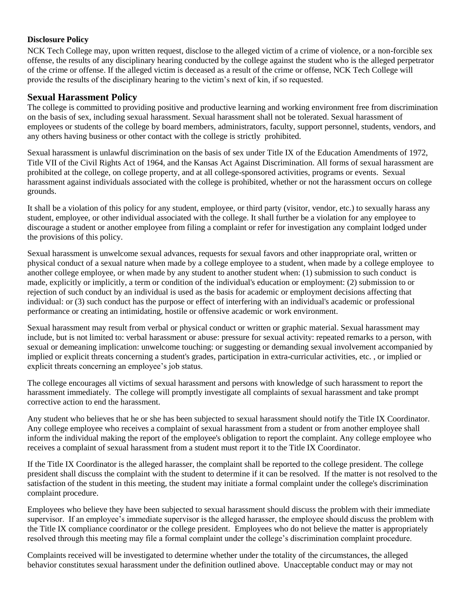### **Disclosure Policy**

NCK Tech College may, upon written request, disclose to the alleged victim of a crime of violence, or a non-forcible sex offense, the results of any disciplinary hearing conducted by the college against the student who is the alleged perpetrator of the crime or offense. If the alleged victim is deceased as a result of the crime or offense, NCK Tech College will provide the results of the disciplinary hearing to the victim's next of kin, if so requested.

## **Sexual Harassment Policy**

The college is committed to providing positive and productive learning and working environment free from discrimination on the basis of sex, including sexual harassment. Sexual harassment shall not be tolerated. Sexual harassment of employees or students of the college by board members, administrators, faculty, support personnel, students, vendors, and any others having business or other contact with the college is strictly prohibited.

Sexual harassment is unlawful discrimination on the basis of sex under Title IX of the Education Amendments of 1972, Title VII of the Civil Rights Act of 1964, and the Kansas Act Against Discrimination. All forms of sexual harassment are prohibited at the college, on college property, and at all college-sponsored activities, programs or events. Sexual harassment against individuals associated with the college is prohibited, whether or not the harassment occurs on college grounds.

It shall be a violation of this policy for any student, employee, or third party (visitor, vendor, etc.) to sexually harass any student, employee, or other individual associated with the college. It shall further be a violation for any employee to discourage a student or another employee from filing a complaint or refer for investigation any complaint lodged under the provisions of this policy.

Sexual harassment is unwelcome sexual advances, requests for sexual favors and other inappropriate oral, written or physical conduct of a sexual nature when made by a college employee to a student, when made by a college employee to another college employee, or when made by any student to another student when: (1) submission to such conduct is made, explicitly or implicitly, a term or condition of the individual's education or employment: (2) submission to or rejection of such conduct by an individual is used as the basis for academic or employment decisions affecting that individual: or (3) such conduct has the purpose or effect of interfering with an individual's academic or professional performance or creating an intimidating, hostile or offensive academic or work environment.

Sexual harassment may result from verbal or physical conduct or written or graphic material. Sexual harassment may include, but is not limited to: verbal harassment or abuse: pressure for sexual activity: repeated remarks to a person, with sexual or demeaning implication: unwelcome touching: or suggesting or demanding sexual involvement accompanied by implied or explicit threats concerning a student's grades, participation in extra-curricular activities, etc. , or implied or explicit threats concerning an employee's job status.

The college encourages all victims of sexual harassment and persons with knowledge of such harassment to report the harassment immediately. The college will promptly investigate all complaints of sexual harassment and take prompt corrective action to end the harassment.

Any student who believes that he or she has been subjected to sexual harassment should notify the Title IX Coordinator. Any college employee who receives a complaint of sexual harassment from a student or from another employee shall inform the individual making the report of the employee's obligation to report the complaint. Any college employee who receives a complaint of sexual harassment from a student must report it to the Title IX Coordinator.

If the Title IX Coordinator is the alleged harasser, the complaint shall be reported to the college president. The college president shall discuss the complaint with the student to determine if it can be resolved. If the matter is not resolved to the satisfaction of the student in this meeting, the student may initiate a formal complaint under the college's discrimination complaint procedure.

Employees who believe they have been subjected to sexual harassment should discuss the problem with their immediate supervisor. If an employee's immediate supervisor is the alleged harasser, the employee should discuss the problem with the Title IX compliance coordinator or the college president. Employees who do not believe the matter is appropriately resolved through this meeting may file a formal complaint under the college's discrimination complaint procedure.

Complaints received will be investigated to determine whether under the totality of the circumstances, the alleged behavior constitutes sexual harassment under the definition outlined above. Unacceptable conduct may or may not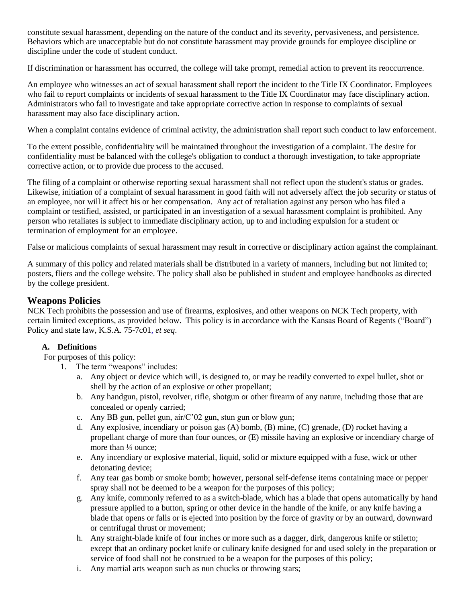constitute sexual harassment, depending on the nature of the conduct and its severity, pervasiveness, and persistence. Behaviors which are unacceptable but do not constitute harassment may provide grounds for employee discipline or discipline under the code of student conduct.

If discrimination or harassment has occurred, the college will take prompt, remedial action to prevent its reoccurrence.

An employee who witnesses an act of sexual harassment shall report the incident to the Title IX Coordinator. Employees who fail to report complaints or incidents of sexual harassment to the Title IX Coordinator may face disciplinary action. Administrators who fail to investigate and take appropriate corrective action in response to complaints of sexual harassment may also face disciplinary action.

When a complaint contains evidence of criminal activity, the administration shall report such conduct to law enforcement.

To the extent possible, confidentiality will be maintained throughout the investigation of a complaint. The desire for confidentiality must be balanced with the college's obligation to conduct a thorough investigation, to take appropriate corrective action, or to provide due process to the accused.

The filing of a complaint or otherwise reporting sexual harassment shall not reflect upon the student's status or grades. Likewise, initiation of a complaint of sexual harassment in good faith will not adversely affect the job security or status of an employee, nor will it affect his or her compensation. Any act of retaliation against any person who has filed a complaint or testified, assisted, or participated in an investigation of a sexual harassment complaint is prohibited. Any person who retaliates is subject to immediate disciplinary action, up to and including expulsion for a student or termination of employment for an employee.

False or malicious complaints of sexual harassment may result in corrective or disciplinary action against the complainant.

A summary of this policy and related materials shall be distributed in a variety of manners, including but not limited to; posters, fliers and the college website. The policy shall also be published in student and employee handbooks as directed by the college president.

## **Weapons Policies**

NCK Tech prohibits the possession and use of firearms, explosives, and other weapons on NCK Tech property, with certain limited exceptions, as provided below. This policy is in accordance with the Kansas Board of Regents ("Board") Policy and state law, K.S.A. 75-7c01, *et seq*.

#### **A. Definitions**

For purposes of this policy:

- 1. The term "weapons" includes:
	- a. Any object or device which will, is designed to, or may be readily converted to expel bullet, shot or shell by the action of an explosive or other propellant;
	- b. Any handgun, pistol, revolver, rifle, shotgun or other firearm of any nature, including those that are concealed or openly carried;
	- c. Any BB gun, pellet gun, air/C'02 gun, stun gun or blow gun;
	- d. Any explosive, incendiary or poison gas (A) bomb, (B) mine, (C) grenade, (D) rocket having a propellant charge of more than four ounces, or (E) missile having an explosive or incendiary charge of more than  $\frac{1}{4}$  ounce;
	- e. Any incendiary or explosive material, liquid, solid or mixture equipped with a fuse, wick or other detonating device;
	- f. Any tear gas bomb or smoke bomb; however, personal self-defense items containing mace or pepper spray shall not be deemed to be a weapon for the purposes of this policy;
	- g. Any knife, commonly referred to as a switch-blade, which has a blade that opens automatically by hand pressure applied to a button, spring or other device in the handle of the knife, or any knife having a blade that opens or falls or is ejected into position by the force of gravity or by an outward, downward or centrifugal thrust or movement;
	- h. Any straight-blade knife of four inches or more such as a dagger, dirk, dangerous knife or stiletto; except that an ordinary pocket knife or culinary knife designed for and used solely in the preparation or service of food shall not be construed to be a weapon for the purposes of this policy;
	- i. Any martial arts weapon such as nun chucks or throwing stars;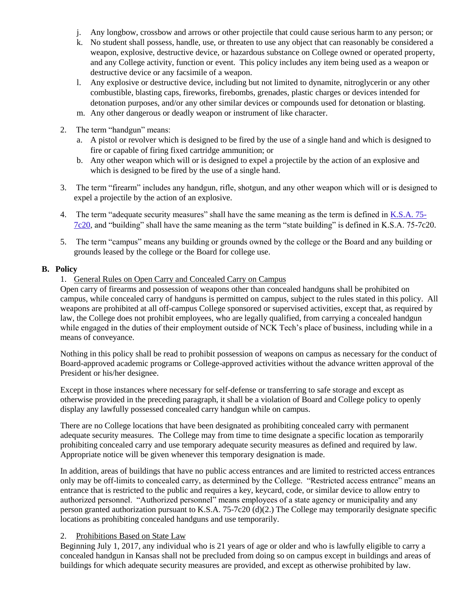- j. Any longbow, crossbow and arrows or other projectile that could cause serious harm to any person; or
- k. No student shall possess, handle, use, or threaten to use any object that can reasonably be considered a weapon, explosive, destructive device, or hazardous substance on College owned or operated property, and any College activity, function or event. This policy includes any item being used as a weapon or destructive device or any facsimile of a weapon.
- l. Any explosive or destructive device, including but not limited to dynamite, nitroglycerin or any other combustible, blasting caps, fireworks, firebombs, grenades, plastic charges or devices intended for detonation purposes, and/or any other similar devices or compounds used for detonation or blasting.
- m. Any other dangerous or deadly weapon or instrument of like character.
- 2. The term "handgun" means:
	- a. A pistol or revolver which is designed to be fired by the use of a single hand and which is designed to fire or capable of firing fixed cartridge ammunition; or
	- b. Any other weapon which will or is designed to expel a projectile by the action of an explosive and which is designed to be fired by the use of a single hand.
- 3. The term "firearm" includes any handgun, rifle, shotgun, and any other weapon which will or is designed to expel a projectile by the action of an explosive.
- 4. The term "adequate security measures" shall have the same meaning as the term is defined in K.S.A. 75- 7c20, and "building" shall have the same meaning as the term "state building" is defined in K.S.A. 75-7c20.
- 5. The term "campus" means any building or grounds owned by the college or the Board and any building or grounds leased by the college or the Board for college use.

#### **B. Policy**

#### 1. General Rules on Open Carry and Concealed Carry on Campus

Open carry of firearms and possession of weapons other than concealed handguns shall be prohibited on campus, while concealed carry of handguns is permitted on campus, subject to the rules stated in this policy. All weapons are prohibited at all off-campus College sponsored or supervised activities, except that, as required by law, the College does not prohibit employees, who are legally qualified, from carrying a concealed handgun while engaged in the duties of their employment outside of NCK Tech's place of business, including while in a means of conveyance.

Nothing in this policy shall be read to prohibit possession of weapons on campus as necessary for the conduct of Board-approved academic programs or College-approved activities without the advance written approval of the President or his/her designee.

Except in those instances where necessary for self-defense or transferring to safe storage and except as otherwise provided in the preceding paragraph, it shall be a violation of Board and College policy to openly display any lawfully possessed concealed carry handgun while on campus.

There are no College locations that have been designated as prohibiting concealed carry with permanent adequate security measures. The College may from time to time designate a specific location as temporarily prohibiting concealed carry and use temporary adequate security measures as defined and required by law. Appropriate notice will be given whenever this temporary designation is made.

In addition, areas of buildings that have no public access entrances and are limited to restricted access entrances only may be off-limits to concealed carry, as determined by the College. "Restricted access entrance" means an entrance that is restricted to the public and requires a key, keycard, code, or similar device to allow entry to authorized personnel. "Authorized personnel" means employees of a state agency or municipality and any person granted authorization pursuant to K.S.A. 75-7c20 (d)(2.) The College may temporarily designate specific locations as prohibiting concealed handguns and use temporarily.

#### 2. Prohibitions Based on State Law

Beginning July 1, 2017, any individual who is 21 years of age or older and who is lawfully eligible to carry a concealed handgun in Kansas shall not be precluded from doing so on campus except in buildings and areas of buildings for which adequate security measures are provided, and except as otherwise prohibited by law.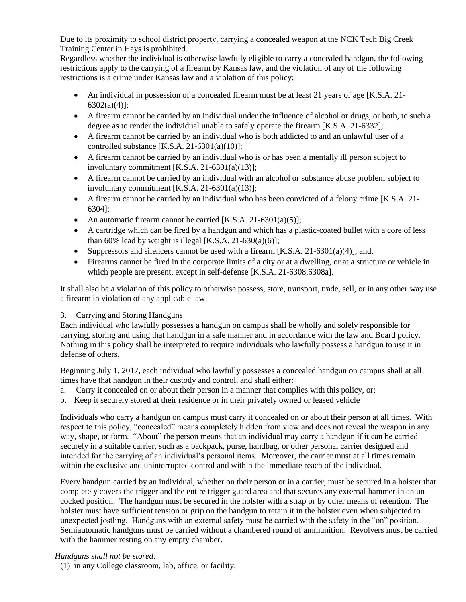Due to its proximity to school district property, carrying a concealed weapon at the NCK Tech Big Creek Training Center in Hays is prohibited.

Regardless whether the individual is otherwise lawfully eligible to carry a concealed handgun, the following restrictions apply to the carrying of a firearm by Kansas law, and the violation of any of the following restrictions is a crime under Kansas law and a violation of this policy:

- An individual in possession of a concealed firearm must be at least 21 years of age [K.S.A. 21- 6302(a)(4)];
- A firearm cannot be carried by an individual under the influence of alcohol or drugs, or both, to such a degree as to render the individual unable to safely operate the firearm [K.S.A. 21-6332];
- A firearm cannot be carried by an individual who is both addicted to and an unlawful user of a controlled substance  $[K.S.A. 21-6301(a)(10)];$
- A firearm cannot be carried by an individual who is or has been a mentally ill person subject to involuntary commitment [K.S.A. 21-6301(a)(13)];
- A firearm cannot be carried by an individual with an alcohol or substance abuse problem subject to involuntary commitment [K.S.A. 21-6301(a)(13)];
- A firearm cannot be carried by an individual who has been convicted of a felony crime [K.S.A. 21- 6304];
- An automatic firearm cannot be carried  $[K.S.A. 21-6301(a)(5)];$
- A cartridge which can be fired by a handgun and which has a plastic-coated bullet with a core of less than 60% lead by weight is illegal [K.S.A. 21-630(a)(6)];
- Suppressors and silencers cannot be used with a firearm [K.S.A. 21-6301(a)(4)]; and,
- Firearms cannot be fired in the corporate limits of a city or at a dwelling, or at a structure or vehicle in which people are present, except in self-defense [K.S.A. 21-6308,6308a].

It shall also be a violation of this policy to otherwise possess, store, transport, trade, sell, or in any other way use a firearm in violation of any applicable law.

#### 3. Carrying and Storing Handguns

Each individual who lawfully possesses a handgun on campus shall be wholly and solely responsible for carrying, storing and using that handgun in a safe manner and in accordance with the law and Board policy. Nothing in this policy shall be interpreted to require individuals who lawfully possess a handgun to use it in defense of others.

Beginning July 1, 2017, each individual who lawfully possesses a concealed handgun on campus shall at all times have that handgun in their custody and control, and shall either:

- a. Carry it concealed on or about their person in a manner that complies with this policy, or;
- b. Keep it securely stored at their residence or in their privately owned or leased vehicle

Individuals who carry a handgun on campus must carry it concealed on or about their person at all times. With respect to this policy, "concealed" means completely hidden from view and does not reveal the weapon in any way, shape, or form. "About" the person means that an individual may carry a handgun if it can be carried securely in a suitable carrier, such as a backpack, purse, handbag, or other personal carrier designed and intended for the carrying of an individual's personal items. Moreover, the carrier must at all times remain within the exclusive and uninterrupted control and within the immediate reach of the individual.

Every handgun carried by an individual, whether on their person or in a carrier, must be secured in a holster that completely covers the trigger and the entire trigger guard area and that secures any external hammer in an uncocked position. The handgun must be secured in the holster with a strap or by other means of retention. The holster must have sufficient tension or grip on the handgun to retain it in the holster even when subjected to unexpected jostling. Handguns with an external safety must be carried with the safety in the "on" position. Semiautomatic handguns must be carried without a chambered round of ammunition. Revolvers must be carried with the hammer resting on any empty chamber.

#### *Handguns shall not be stored:*

(1) in any College classroom, lab, office, or facility;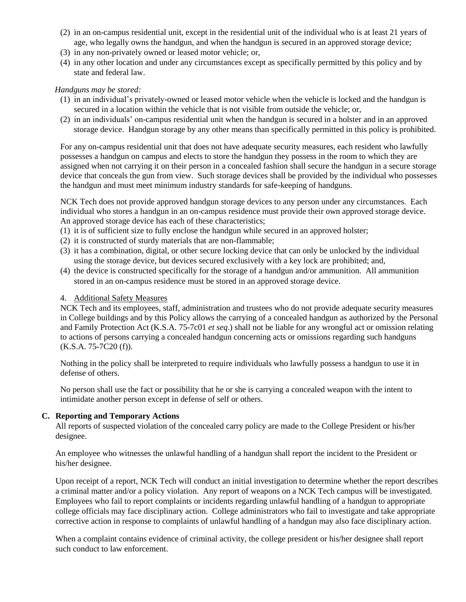- (2) in an on-campus residential unit, except in the residential unit of the individual who is at least 21 years of age, who legally owns the handgun, and when the handgun is secured in an approved storage device;
- (3) in any non-privately owned or leased motor vehicle; or,
- (4) in any other location and under any circumstances except as specifically permitted by this policy and by state and federal law.

#### *Handguns may be stored:*

- (1) in an individual's privately-owned or leased motor vehicle when the vehicle is locked and the handgun is secured in a location within the vehicle that is not visible from outside the vehicle; or,
- (2) in an individuals' on-campus residential unit when the handgun is secured in a holster and in an approved storage device. Handgun storage by any other means than specifically permitted in this policy is prohibited.

For any on-campus residential unit that does not have adequate security measures, each resident who lawfully possesses a handgun on campus and elects to store the handgun they possess in the room to which they are assigned when not carrying it on their person in a concealed fashion shall secure the handgun in a secure storage device that conceals the gun from view. Such storage devices shall be provided by the individual who possesses the handgun and must meet minimum industry standards for safe-keeping of handguns.

NCK Tech does not provide approved handgun storage devices to any person under any circumstances. Each individual who stores a handgun in an on-campus residence must provide their own approved storage device. An approved storage device has each of these characteristics;

- (1) it is of sufficient size to fully enclose the handgun while secured in an approved holster;
- (2) it is constructed of sturdy materials that are non-flammable;
- (3) it has a combination, digital, or other secure locking device that can only be unlocked by the individual using the storage device, but devices secured exclusively with a key lock are prohibited; and,
- (4) the device is constructed specifically for the storage of a handgun and/or ammunition. All ammunition stored in an on-campus residence must be stored in an approved storage device.

#### 4. Additional Safety Measures

NCK Tech and its employees, staff, administration and trustees who do not provide adequate security measures in College buildings and by this Policy allows the carrying of a concealed handgun as authorized by the Personal and Family Protection Act (K.S.A. 75-7c01 *et seq*.) shall not be liable for any wrongful act or omission relating to actions of persons carrying a concealed handgun concerning acts or omissions regarding such handguns (K.S.A. 75-7C20 (f)).

Nothing in the policy shall be interpreted to require individuals who lawfully possess a handgun to use it in defense of others.

No person shall use the fact or possibility that he or she is carrying a concealed weapon with the intent to intimidate another person except in defense of self or others.

#### **C. Reporting and Temporary Actions**

All reports of suspected violation of the concealed carry policy are made to the College President or his/her designee.

An employee who witnesses the unlawful handling of a handgun shall report the incident to the President or his/her designee.

Upon receipt of a report, NCK Tech will conduct an initial investigation to determine whether the report describes a criminal matter and/or a policy violation. Any report of weapons on a NCK Tech campus will be investigated. Employees who fail to report complaints or incidents regarding unlawful handling of a handgun to appropriate college officials may face disciplinary action. College administrators who fail to investigate and take appropriate corrective action in response to complaints of unlawful handling of a handgun may also face disciplinary action.

When a complaint contains evidence of criminal activity, the college president or his/her designee shall report such conduct to law enforcement.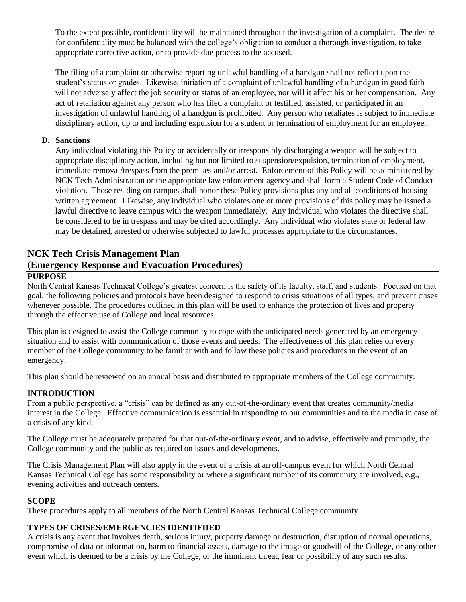To the extent possible, confidentiality will be maintained throughout the investigation of a complaint. The desire for confidentiality must be balanced with the college's obligation to conduct a thorough investigation, to take appropriate corrective action, or to provide due process to the accused.

The filing of a complaint or otherwise reporting unlawful handling of a handgun shall not reflect upon the student's status or grades. Likewise, initiation of a complaint of unlawful handling of a handgun in good faith will not adversely affect the job security or status of an employee, nor will it affect his or her compensation. Any act of retaliation against any person who has filed a complaint or testified, assisted, or participated in an investigation of unlawful handling of a handgun is prohibited. Any person who retaliates is subject to immediate disciplinary action, up to and including expulsion for a student or termination of employment for an employee.

#### **D. Sanctions**

Any individual violating this Policy or accidentally or irresponsibly discharging a weapon will be subject to appropriate disciplinary action, including but not limited to suspension/expulsion, termination of employment, immediate removal/trespass from the premises and/or arrest. Enforcement of this Policy will be administered by NCK Tech Administration or the appropriate law enforcement agency and shall form a Student Code of Conduct violation. Those residing on campus shall honor these Policy provisions plus any and all conditions of housing written agreement. Likewise, any individual who violates one or more provisions of this policy may be issued a lawful directive to leave campus with the weapon immediately. Any individual who violates the directive shall be considered to be in trespass and may be cited accordingly. Any individual who violates state or federal law may be detained, arrested or otherwise subjected to lawful processes appropriate to the circumstances.

# **NCK Tech Crisis Management Plan (Emergency Response and Evacuation Procedures)**

#### **PURPOSE**

North Central Kansas Technical College's greatest concern is the safety of its faculty, staff, and students. Focused on that goal, the following policies and protocols have been designed to respond to crisis situations of all types, and prevent crises whenever possible. The procedures outlined in this plan will be used to enhance the protection of lives and property through the effective use of College and local resources.

This plan is designed to assist the College community to cope with the anticipated needs generated by an emergency situation and to assist with communication of those events and needs. The effectiveness of this plan relies on every member of the College community to be familiar with and follow these policies and procedures in the event of an emergency.

This plan should be reviewed on an annual basis and distributed to appropriate members of the College community.

## **INTRODUCTION**

From a public perspective, a "crisis" can be defined as any out-of-the-ordinary event that creates community/media interest in the College. Effective communication is essential in responding to our communities and to the media in case of a crisis of any kind.

The College must be adequately prepared for that out-of-the-ordinary event, and to advise, effectively and promptly, the College community and the public as required on issues and developments.

The Crisis Management Plan will also apply in the event of a crisis at an off-campus event for which North Central Kansas Technical College has some responsibility or where a significant number of its community are involved, e.g., evening activities and outreach centers.

#### **SCOPE**

These procedures apply to all members of the North Central Kansas Technical College community.

#### **TYPES OF CRISES/EMERGENCIES IDENTIFIIED**

A crisis is any event that involves death, serious injury, property damage or destruction, disruption of normal operations, compromise of data or information, harm to financial assets, damage to the image or goodwill of the College, or any other event which is deemed to be a crisis by the College, or the imminent threat, fear or possibility of any such results.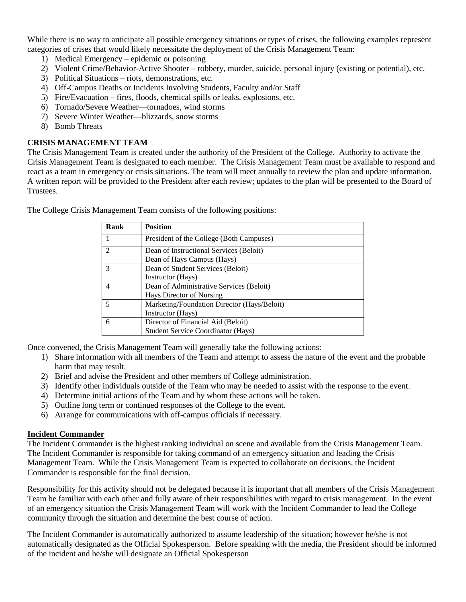While there is no way to anticipate all possible emergency situations or types of crises, the following examples represent categories of crises that would likely necessitate the deployment of the Crisis Management Team:

- 1) Medical Emergency epidemic or poisoning
- 2) Violent Crime/Behavior-Active Shooter robbery, murder, suicide, personal injury (existing or potential), etc.
- 3) Political Situations riots, demonstrations, etc.
- 4) Off-Campus Deaths or Incidents Involving Students, Faculty and/or Staff
- 5) Fire/Evacuation fires, floods, chemical spills or leaks, explosions, etc.
- 6) Tornado/Severe Weather—tornadoes, wind storms
- 7) Severe Winter Weather—blizzards, snow storms
- 8) Bomb Threats

#### **CRISIS MANAGEMENT TEAM**

The Crisis Management Team is created under the authority of the President of the College. Authority to activate the Crisis Management Team is designated to each member. The Crisis Management Team must be available to respond and react as a team in emergency or crisis situations. The team will meet annually to review the plan and update information. A written report will be provided to the President after each review; updates to the plan will be presented to the Board of Trustees.

| Rank           | <b>Position</b>                             |
|----------------|---------------------------------------------|
| 1              | President of the College (Both Campuses)    |
| $\overline{2}$ | Dean of Instructional Services (Beloit)     |
|                | Dean of Hays Campus (Hays)                  |
| 3              | Dean of Student Services (Beloit)           |
|                | Instructor (Hays)                           |
| 4              | Dean of Administrative Services (Beloit)    |
|                | Hays Director of Nursing                    |
| 5              | Marketing/Foundation Director (Hays/Beloit) |
|                | Instructor (Hays)                           |
| 6              | Director of Financial Aid (Beloit)          |
|                | <b>Student Service Coordinator (Hays)</b>   |

The College Crisis Management Team consists of the following positions:

Once convened, the Crisis Management Team will generally take the following actions:

- 1) Share information with all members of the Team and attempt to assess the nature of the event and the probable harm that may result.
- 2) Brief and advise the President and other members of College administration.
- 3) Identify other individuals outside of the Team who may be needed to assist with the response to the event.
- 4) Determine initial actions of the Team and by whom these actions will be taken.
- 5) Outline long term or continued responses of the College to the event.
- 6) Arrange for communications with off-campus officials if necessary.

#### **Incident Commander**

The Incident Commander is the highest ranking individual on scene and available from the Crisis Management Team. The Incident Commander is responsible for taking command of an emergency situation and leading the Crisis Management Team. While the Crisis Management Team is expected to collaborate on decisions, the Incident Commander is responsible for the final decision.

Responsibility for this activity should not be delegated because it is important that all members of the Crisis Management Team be familiar with each other and fully aware of their responsibilities with regard to crisis management. In the event of an emergency situation the Crisis Management Team will work with the Incident Commander to lead the College community through the situation and determine the best course of action.

The Incident Commander is automatically authorized to assume leadership of the situation; however he/she is not automatically designated as the Official Spokesperson. Before speaking with the media, the President should be informed of the incident and he/she will designate an Official Spokesperson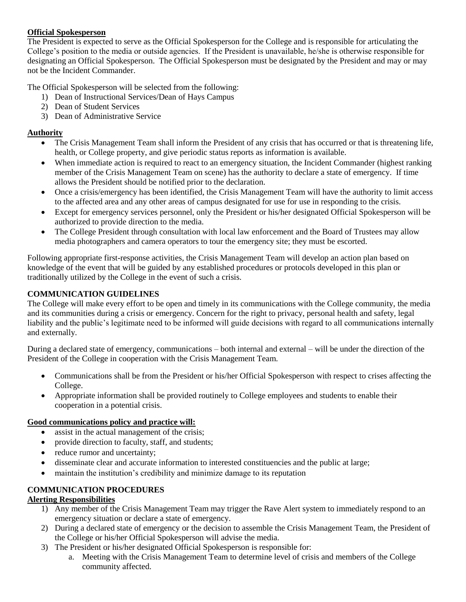#### **Official Spokesperson**

The President is expected to serve as the Official Spokesperson for the College and is responsible for articulating the College's position to the media or outside agencies. If the President is unavailable, he/she is otherwise responsible for designating an Official Spokesperson. The Official Spokesperson must be designated by the President and may or may not be the Incident Commander.

The Official Spokesperson will be selected from the following:

- 1) Dean of Instructional Services/Dean of Hays Campus
- 2) Dean of Student Services
- 3) Dean of Administrative Service

#### **Authority**

- The Crisis Management Team shall inform the President of any crisis that has occurred or that is threatening life, health, or College property, and give periodic status reports as information is available.
- When immediate action is required to react to an emergency situation, the Incident Commander (highest ranking member of the Crisis Management Team on scene) has the authority to declare a state of emergency. If time allows the President should be notified prior to the declaration.
- Once a crisis/emergency has been identified, the Crisis Management Team will have the authority to limit access to the affected area and any other areas of campus designated for use for use in responding to the crisis.
- Except for emergency services personnel, only the President or his/her designated Official Spokesperson will be authorized to provide direction to the media.
- The College President through consultation with local law enforcement and the Board of Trustees may allow media photographers and camera operators to tour the emergency site; they must be escorted.

Following appropriate first-response activities, the Crisis Management Team will develop an action plan based on knowledge of the event that will be guided by any established procedures or protocols developed in this plan or traditionally utilized by the College in the event of such a crisis.

## **COMMUNICATION GUIDELINES**

The College will make every effort to be open and timely in its communications with the College community, the media and its communities during a crisis or emergency. Concern for the right to privacy, personal health and safety, legal liability and the public's legitimate need to be informed will guide decisions with regard to all communications internally and externally.

During a declared state of emergency, communications – both internal and external – will be under the direction of the President of the College in cooperation with the Crisis Management Team.

- Communications shall be from the President or his/her Official Spokesperson with respect to crises affecting the College.
- Appropriate information shall be provided routinely to College employees and students to enable their cooperation in a potential crisis.

#### **Good communications policy and practice will:**

- assist in the actual management of the crisis;
- provide direction to faculty, staff, and students;
- reduce rumor and uncertainty;
- disseminate clear and accurate information to interested constituencies and the public at large;
- maintain the institution's credibility and minimize damage to its reputation

#### **COMMUNICATION PROCEDURES**

#### **Alerting Responsibilities**

- 1) Any member of the Crisis Management Team may trigger the Rave Alert system to immediately respond to an emergency situation or declare a state of emergency.
- 2) During a declared state of emergency or the decision to assemble the Crisis Management Team, the President of the College or his/her Official Spokesperson will advise the media.
- 3) The President or his/her designated Official Spokesperson is responsible for:
	- a. Meeting with the Crisis Management Team to determine level of crisis and members of the College community affected.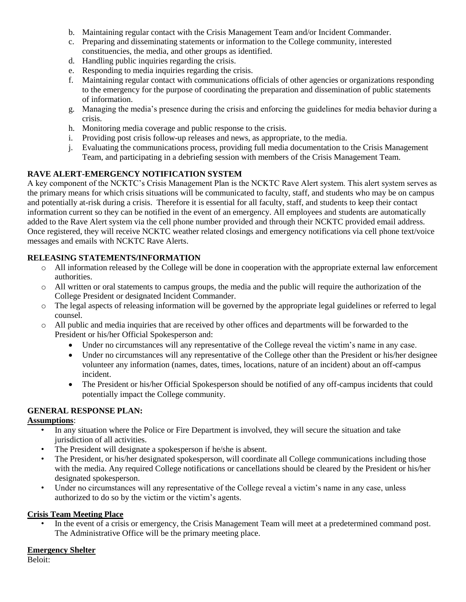- b. Maintaining regular contact with the Crisis Management Team and/or Incident Commander.
- c. Preparing and disseminating statements or information to the College community, interested constituencies, the media, and other groups as identified.
- d. Handling public inquiries regarding the crisis.
- e. Responding to media inquiries regarding the crisis.
- f. Maintaining regular contact with communications officials of other agencies or organizations responding to the emergency for the purpose of coordinating the preparation and dissemination of public statements of information.
- g. Managing the media's presence during the crisis and enforcing the guidelines for media behavior during a crisis.
- h. Monitoring media coverage and public response to the crisis.
- i. Providing post crisis follow-up releases and news, as appropriate, to the media.
- j. Evaluating the communications process, providing full media documentation to the Crisis Management Team, and participating in a debriefing session with members of the Crisis Management Team.

#### **RAVE ALERT-EMERGENCY NOTIFICATION SYSTEM**

A key component of the NCKTC's Crisis Management Plan is the NCKTC Rave Alert system. This alert system serves as the primary means for which crisis situations will be communicated to faculty, staff, and students who may be on campus and potentially at-risk during a crisis. Therefore it is essential for all faculty, staff, and students to keep their contact information current so they can be notified in the event of an emergency. All employees and students are automatically added to the Rave Alert system via the cell phone number provided and through their NCKTC provided email address. Once registered, they will receive NCKTC weather related closings and emergency notifications via cell phone text/voice messages and emails with NCKTC Rave Alerts.

#### **RELEASING STATEMENTS/INFORMATION**

- o All information released by the College will be done in cooperation with the appropriate external law enforcement authorities.
- o All written or oral statements to campus groups, the media and the public will require the authorization of the College President or designated Incident Commander.
- o The legal aspects of releasing information will be governed by the appropriate legal guidelines or referred to legal counsel.
- o All public and media inquiries that are received by other offices and departments will be forwarded to the President or his/her Official Spokesperson and:
	- Under no circumstances will any representative of the College reveal the victim's name in any case.
	- Under no circumstances will any representative of the College other than the President or his/her designee volunteer any information (names, dates, times, locations, nature of an incident) about an off-campus incident.
	- The President or his/her Official Spokesperson should be notified of any off-campus incidents that could potentially impact the College community.

## **GENERAL RESPONSE PLAN:**

#### **Assumptions**:

- In any situation where the Police or Fire Department is involved, they will secure the situation and take jurisdiction of all activities.
- The President will designate a spokesperson if he/she is absent.
- The President, or his/her designated spokesperson, will coordinate all College communications including those with the media. Any required College notifications or cancellations should be cleared by the President or his/her designated spokesperson.
- Under no circumstances will any representative of the College reveal a victim's name in any case, unless authorized to do so by the victim or the victim's agents.

#### **Crisis Team Meeting Place**

• In the event of a crisis or emergency, the Crisis Management Team will meet at a predetermined command post. The Administrative Office will be the primary meeting place.

#### **Emergency Shelter**

Beloit: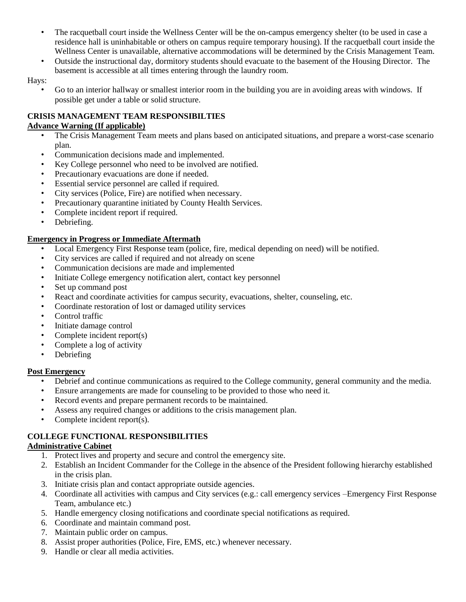- The racquetball court inside the Wellness Center will be the on-campus emergency shelter (to be used in case a residence hall is uninhabitable or others on campus require temporary housing). If the racquetball court inside the Wellness Center is unavailable, alternative accommodations will be determined by the Crisis Management Team.
- Outside the instructional day, dormitory students should evacuate to the basement of the Housing Director. The basement is accessible at all times entering through the laundry room.
- Hays:
	- Go to an interior hallway or smallest interior room in the building you are in avoiding areas with windows. If possible get under a table or solid structure.

#### **CRISIS MANAGEMENT TEAM RESPONSIBILTIES Advance Warning (If applicable)**

- The Crisis Management Team meets and plans based on anticipated situations, and prepare a worst-case scenario plan.
- Communication decisions made and implemented.
- Key College personnel who need to be involved are notified.
- Precautionary evacuations are done if needed.
- Essential service personnel are called if required.
- City services (Police, Fire) are notified when necessary.
- Precautionary quarantine initiated by County Health Services.
- Complete incident report if required.
- Debriefing.

#### **Emergency in Progress or Immediate Aftermath**

- Local Emergency First Response team (police, fire, medical depending on need) will be notified.
- City services are called if required and not already on scene
- Communication decisions are made and implemented
- Initiate College emergency notification alert, contact key personnel
- Set up command post
- React and coordinate activities for campus security, evacuations, shelter, counseling, etc.
- Coordinate restoration of lost or damaged utility services
- Control traffic
- Initiate damage control
- Complete incident report(s)
- Complete a log of activity
- Debriefing

#### **Post Emergency**

- Debrief and continue communications as required to the College community, general community and the media.
- Ensure arrangements are made for counseling to be provided to those who need it.
- Record events and prepare permanent records to be maintained.
- Assess any required changes or additions to the crisis management plan.
- Complete incident report(s).

#### **COLLEGE FUNCTIONAL RESPONSIBILITIES**

#### **Administrative Cabinet**

- 1. Protect lives and property and secure and control the emergency site.
- 2. Establish an Incident Commander for the College in the absence of the President following hierarchy established in the crisis plan.
- 3. Initiate crisis plan and contact appropriate outside agencies.
- 4. Coordinate all activities with campus and City services (e.g.: call emergency services –Emergency First Response Team, ambulance etc.)
- 5. Handle emergency closing notifications and coordinate special notifications as required.
- 6. Coordinate and maintain command post.
- 7. Maintain public order on campus.
- 8. Assist proper authorities (Police, Fire, EMS, etc.) whenever necessary.
- 9. Handle or clear all media activities.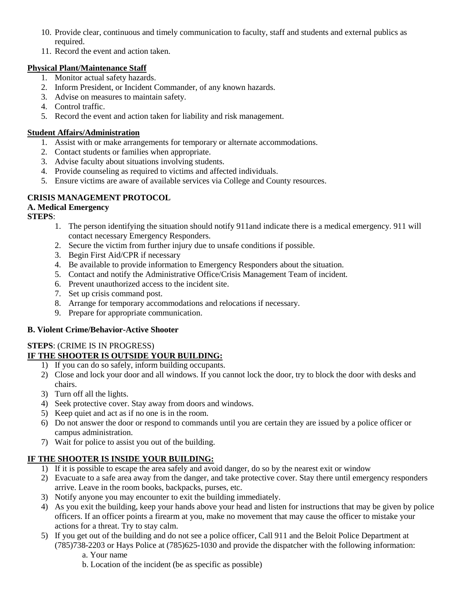- 10. Provide clear, continuous and timely communication to faculty, staff and students and external publics as required.
- 11. Record the event and action taken.

## **Physical Plant/Maintenance Staff**

- 1. Monitor actual safety hazards.
- 2. Inform President, or Incident Commander, of any known hazards.
- 3. Advise on measures to maintain safety.
- 4. Control traffic.
- 5. Record the event and action taken for liability and risk management.

### **Student Affairs/Administration**

- 1. Assist with or make arrangements for temporary or alternate accommodations.
- 2. Contact students or families when appropriate.
- 3. Advise faculty about situations involving students.
- 4. Provide counseling as required to victims and affected individuals.
- 5. Ensure victims are aware of available services via College and County resources.

## **CRISIS MANAGEMENT PROTOCOL**

## **A. Medical Emergency**

**STEPS**:

- 1. The person identifying the situation should notify 911and indicate there is a medical emergency. 911 will contact necessary Emergency Responders.
- 2. Secure the victim from further injury due to unsafe conditions if possible.
- 3. Begin First Aid/CPR if necessary
- 4. Be available to provide information to Emergency Responders about the situation.
- 5. Contact and notify the Administrative Office/Crisis Management Team of incident.
- 6. Prevent unauthorized access to the incident site.
- 7. Set up crisis command post.
- 8. Arrange for temporary accommodations and relocations if necessary.
- 9. Prepare for appropriate communication.

## **B. Violent Crime/Behavior-Active Shooter**

## **STEPS**: (CRIME IS IN PROGRESS)

## **IF THE SHOOTER IS OUTSIDE YOUR BUILDING:**

- 1) If you can do so safely, inform building occupants.
- 2) Close and lock your door and all windows. If you cannot lock the door, try to block the door with desks and chairs.
- 3) Turn off all the lights.
- 4) Seek protective cover. Stay away from doors and windows.
- 5) Keep quiet and act as if no one is in the room.
- 6) Do not answer the door or respond to commands until you are certain they are issued by a police officer or campus administration.
- 7) Wait for police to assist you out of the building.

## **IF THE SHOOTER IS INSIDE YOUR BUILDING:**

- 1) If it is possible to escape the area safely and avoid danger, do so by the nearest exit or window
- 2) Evacuate to a safe area away from the danger, and take protective cover. Stay there until emergency responders arrive. Leave in the room books, backpacks, purses, etc.
- 3) Notify anyone you may encounter to exit the building immediately.
- 4) As you exit the building, keep your hands above your head and listen for instructions that may be given by police officers. If an officer points a firearm at you, make no movement that may cause the officer to mistake your actions for a threat. Try to stay calm.
- 5) If you get out of the building and do not see a police officer, Call 911 and the Beloit Police Department at (785)738-2203 or Hays Police at (785)625-1030 and provide the dispatcher with the following information: a. Your name
	- b. Location of the incident (be as specific as possible)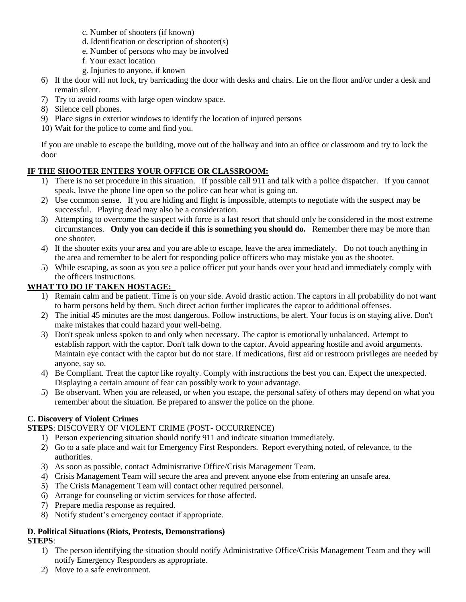- c. Number of shooters (if known)
- d. Identification or description of shooter(s)
- e. Number of persons who may be involved
- f. Your exact location
- g. Injuries to anyone, if known
- 6) If the door will not lock, try barricading the door with desks and chairs. Lie on the floor and/or under a desk and remain silent.
- 7) Try to avoid rooms with large open window space.
- 8) Silence cell phones.
- 9) Place signs in exterior windows to identify the location of injured persons
- 10) Wait for the police to come and find you.

If you are unable to escape the building, move out of the hallway and into an office or classroom and try to lock the door

## **IF THE SHOOTER ENTERS YOUR OFFICE OR CLASSROOM:**

- 1) There is no set procedure in this situation. If possible call 911 and talk with a police dispatcher. If you cannot speak, leave the phone line open so the police can hear what is going on.
- 2) Use common sense. If you are hiding and flight is impossible, attempts to negotiate with the suspect may be successful. Playing dead may also be a consideration.
- 3) Attempting to overcome the suspect with force is a last resort that should only be considered in the most extreme circumstances. **Only you can decide if this is something you should do.** Remember there may be more than one shooter.
- 4) If the shooter exits your area and you are able to escape, leave the area immediately. Do not touch anything in the area and remember to be alert for responding police officers who may mistake you as the shooter.
- 5) While escaping, as soon as you see a police officer put your hands over your head and immediately comply with the officers instructions.

## **WHAT TO DO IF TAKEN HOSTAGE:**

- 1) Remain calm and be patient. Time is on your side. Avoid drastic action. The captors in all probability do not want to harm persons held by them. Such direct action further implicates the captor to additional offenses.
- 2) The initial 45 minutes are the most dangerous. Follow instructions, be alert. Your focus is on staying alive. Don't make mistakes that could hazard your well-being.
- 3) Don't speak unless spoken to and only when necessary. The captor is emotionally unbalanced. Attempt to establish rapport with the captor. Don't talk down to the captor. Avoid appearing hostile and avoid arguments. Maintain eye contact with the captor but do not stare. If medications, first aid or restroom privileges are needed by anyone, say so.
- 4) Be Compliant. Treat the captor like royalty. Comply with instructions the best you can. Expect the unexpected. Displaying a certain amount of fear can possibly work to your advantage.
- 5) Be observant. When you are released, or when you escape, the personal safety of others may depend on what you remember about the situation. Be prepared to answer the police on the phone.

## **C. Discovery of Violent Crimes**

## **STEPS**: DISCOVERY OF VIOLENT CRIME (POST- OCCURRENCE)

- 1) Person experiencing situation should notify 911 and indicate situation immediately.
- 2) Go to a safe place and wait for Emergency First Responders. Report everything noted, of relevance, to the authorities.
- 3) As soon as possible, contact Administrative Office/Crisis Management Team.
- 4) Crisis Management Team will secure the area and prevent anyone else from entering an unsafe area.
- 5) The Crisis Management Team will contact other required personnel.
- 6) Arrange for counseling or victim services for those affected.
- 7) Prepare media response as required.
- 8) Notify student's emergency contact if appropriate.

#### **D. Political Situations (Riots, Protests, Demonstrations) STEPS**:

- 1) The person identifying the situation should notify Administrative Office/Crisis Management Team and they will notify Emergency Responders as appropriate.
- 2) Move to a safe environment.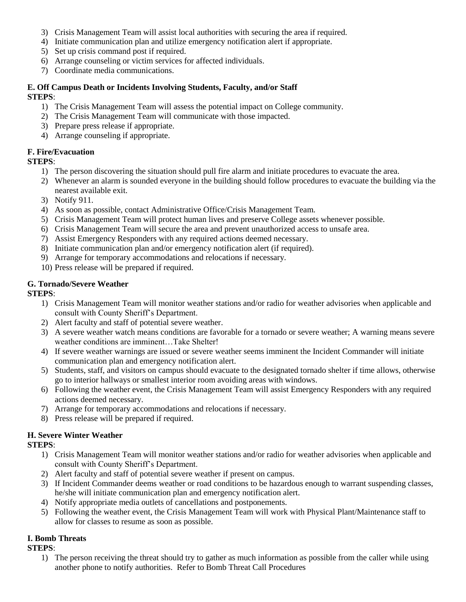- 3) Crisis Management Team will assist local authorities with securing the area if required.
- 4) Initiate communication plan and utilize emergency notification alert if appropriate.
- 5) Set up crisis command post if required.
- 6) Arrange counseling or victim services for affected individuals.
- 7) Coordinate media communications.

#### **E. Off Campus Death or Incidents Involving Students, Faculty, and/or Staff STEPS**:

- 1) The Crisis Management Team will assess the potential impact on College community.
- 2) The Crisis Management Team will communicate with those impacted.
- 3) Prepare press release if appropriate.
- 4) Arrange counseling if appropriate.

## **F. Fire/Evacuation**

#### **STEPS**:

- 1) The person discovering the situation should pull fire alarm and initiate procedures to evacuate the area.
- 2) Whenever an alarm is sounded everyone in the building should follow procedures to evacuate the building via the nearest available exit.
- 3) Notify 911.
- 4) As soon as possible, contact Administrative Office/Crisis Management Team.
- 5) Crisis Management Team will protect human lives and preserve College assets whenever possible.
- 6) Crisis Management Team will secure the area and prevent unauthorized access to unsafe area.
- 7) Assist Emergency Responders with any required actions deemed necessary.
- 8) Initiate communication plan and/or emergency notification alert (if required).
- 9) Arrange for temporary accommodations and relocations if necessary.
- 10) Press release will be prepared if required.

## **G. Tornado/Severe Weather**

#### **STEPS**:

- 1) Crisis Management Team will monitor weather stations and/or radio for weather advisories when applicable and consult with County Sheriff's Department.
- 2) Alert faculty and staff of potential severe weather.
- 3) A severe weather watch means conditions are favorable for a tornado or severe weather; A warning means severe weather conditions are imminent…Take Shelter!
- 4) If severe weather warnings are issued or severe weather seems imminent the Incident Commander will initiate communication plan and emergency notification alert.
- 5) Students, staff, and visitors on campus should evacuate to the designated tornado shelter if time allows, otherwise go to interior hallways or smallest interior room avoiding areas with windows.
- 6) Following the weather event, the Crisis Management Team will assist Emergency Responders with any required actions deemed necessary.
- 7) Arrange for temporary accommodations and relocations if necessary.
- 8) Press release will be prepared if required.

# **H. Severe Winter Weather**

- **STEPS**:
	- 1) Crisis Management Team will monitor weather stations and/or radio for weather advisories when applicable and consult with County Sheriff's Department.
	- 2) Alert faculty and staff of potential severe weather if present on campus.
	- 3) If Incident Commander deems weather or road conditions to be hazardous enough to warrant suspending classes, he/she will initiate communication plan and emergency notification alert.
	- 4) Notify appropriate media outlets of cancellations and postponements.
	- 5) Following the weather event, the Crisis Management Team will work with Physical Plant/Maintenance staff to allow for classes to resume as soon as possible.

## **I. Bomb Threats**

#### **STEPS**:

1) The person receiving the threat should try to gather as much information as possible from the caller while using another phone to notify authorities. Refer to Bomb Threat Call Procedures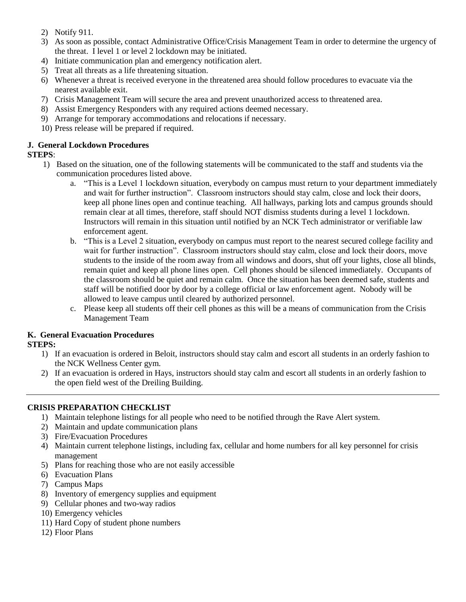- 2) Notify 911.
- 3) As soon as possible, contact Administrative Office/Crisis Management Team in order to determine the urgency of the threat. I level 1 or level 2 lockdown may be initiated.
- 4) Initiate communication plan and emergency notification alert.
- 5) Treat all threats as a life threatening situation.
- 6) Whenever a threat is received everyone in the threatened area should follow procedures to evacuate via the nearest available exit.
- 7) Crisis Management Team will secure the area and prevent unauthorized access to threatened area.
- 8) Assist Emergency Responders with any required actions deemed necessary.
- 9) Arrange for temporary accommodations and relocations if necessary.
- 10) Press release will be prepared if required.

## **J. General Lockdown Procedures**

## **STEPS**:

- 1) Based on the situation, one of the following statements will be communicated to the staff and students via the communication procedures listed above.
	- a. "This is a Level 1 lockdown situation, everybody on campus must return to your department immediately and wait for further instruction". Classroom instructors should stay calm, close and lock their doors, keep all phone lines open and continue teaching. All hallways, parking lots and campus grounds should remain clear at all times, therefore, staff should NOT dismiss students during a level 1 lockdown. Instructors will remain in this situation until notified by an NCK Tech administrator or verifiable law enforcement agent.
	- b. "This is a Level 2 situation, everybody on campus must report to the nearest secured college facility and wait for further instruction". Classroom instructors should stay calm, close and lock their doors, move students to the inside of the room away from all windows and doors, shut off your lights, close all blinds, remain quiet and keep all phone lines open. Cell phones should be silenced immediately. Occupants of the classroom should be quiet and remain calm. Once the situation has been deemed safe, students and staff will be notified door by door by a college official or law enforcement agent. Nobody will be allowed to leave campus until cleared by authorized personnel.
	- c. Please keep all students off their cell phones as this will be a means of communication from the Crisis Management Team

#### **K. General Evacuation Procedures STEPS:**

- 1) If an evacuation is ordered in Beloit, instructors should stay calm and escort all students in an orderly fashion to the NCK Wellness Center gym.
- 2) If an evacuation is ordered in Hays, instructors should stay calm and escort all students in an orderly fashion to the open field west of the Dreiling Building.

## **CRISIS PREPARATION CHECKLIST**

- 1) Maintain telephone listings for all people who need to be notified through the Rave Alert system.
- 2) Maintain and update communication plans
- 3) Fire/Evacuation Procedures
- 4) Maintain current telephone listings, including fax, cellular and home numbers for all key personnel for crisis management
- 5) Plans for reaching those who are not easily accessible
- 6) Evacuation Plans
- 7) Campus Maps
- 8) Inventory of emergency supplies and equipment
- 9) Cellular phones and two-way radios
- 10) Emergency vehicles
- 11) Hard Copy of student phone numbers
- 12) Floor Plans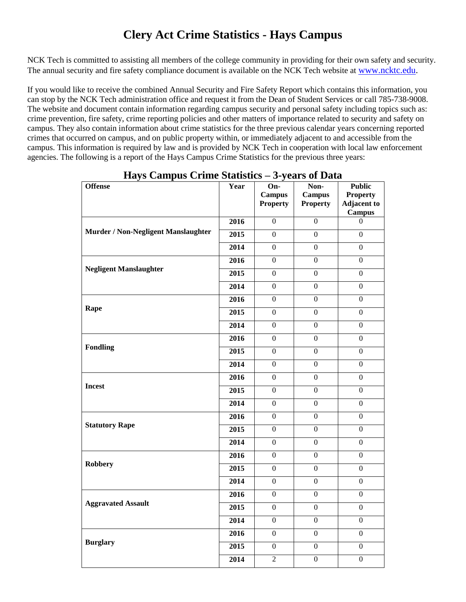# **Clery Act Crime Statistics - Hays Campus**

NCK Tech is committed to assisting all members of the college community in providing for their own safety and security. The annual security and fire safety compliance document is available on the NCK Tech website at [www.ncktc.edu.](http://www.ncktc.edu/)

If you would like to receive the combined Annual Security and Fire Safety Report which contains this information, you can stop by the NCK Tech administration office and request it from the Dean of Student Services or call 785-738-9008. The website and document contain information regarding campus security and personal safety including topics such as: crime prevention, fire safety, crime reporting policies and other matters of importance related to security and safety on campus. They also contain information about crime statistics for the three previous calendar years concerning reported crimes that occurred on campus, and on public property within, or immediately adjacent to and accessible from the campus. This information is required by law and is provided by NCK Tech in cooperation with local law enforcement agencies. The following is a report of the Hays Campus Crime Statistics for the previous three years:

| <b>Offense</b>                      | Year              | On-<br><b>Campus</b><br><b>Property</b> | Non-<br><b>Campus</b><br><b>Property</b> | <b>Public</b><br><b>Property</b><br><b>Adjacent to</b> |
|-------------------------------------|-------------------|-----------------------------------------|------------------------------------------|--------------------------------------------------------|
| Murder / Non-Negligent Manslaughter | 2016              | $\boldsymbol{0}$                        | $\boldsymbol{0}$                         | <b>Campus</b><br>$\boldsymbol{0}$                      |
|                                     | 2015              | $\mathbf{0}$                            | $\boldsymbol{0}$                         | $\mathbf{0}$                                           |
|                                     | 2014              | $\boldsymbol{0}$                        | $\boldsymbol{0}$                         | $\Omega$                                               |
|                                     | 2016              | $\mathbf{0}$                            | $\overline{0}$                           | $\Omega$                                               |
| <b>Negligent Manslaughter</b>       | 2015              | $\overline{0}$                          | $\overline{0}$                           | $\overline{0}$                                         |
|                                     | 2014              | $\mathbf{0}$                            | $\overline{0}$                           | $\mathbf{0}$                                           |
|                                     | 2016              | $\Omega$                                | $\Omega$                                 | $\overline{0}$                                         |
| Rape                                | 2015              | $\boldsymbol{0}$                        | $\overline{0}$                           | $\overline{0}$                                         |
|                                     | 2014              | $\overline{0}$                          | $\mathbf{0}$                             | $\mathbf{0}$                                           |
|                                     | 2016              | $\mathbf{0}$                            | $\overline{0}$                           | $\overline{0}$                                         |
| <b>Fondling</b>                     | 2015              | $\overline{0}$                          | $\overline{0}$                           | $\overline{0}$                                         |
|                                     | 2014              | $\boldsymbol{0}$                        | $\overline{0}$                           | $\overline{0}$                                         |
| <b>Incest</b>                       | 2016              | $\overline{0}$                          | $\overline{0}$                           | $\overline{0}$                                         |
|                                     | 2015              | $\boldsymbol{0}$                        | $\overline{0}$                           | $\mathbf{0}$                                           |
|                                     | $\overline{2014}$ | $\boldsymbol{0}$                        | $\boldsymbol{0}$                         | $\boldsymbol{0}$                                       |
|                                     | 2016              | $\boldsymbol{0}$                        | $\boldsymbol{0}$                         | $\overline{0}$                                         |
| <b>Statutory Rape</b>               | 2015              | $\boldsymbol{0}$                        | $\overline{0}$                           | $\overline{0}$                                         |
|                                     | 2014              | $\overline{0}$                          | $\overline{0}$                           | $\overline{0}$                                         |
| <b>Robbery</b>                      | 2016              | $\overline{0}$                          | $\mathbf{0}$                             | $\mathbf{0}$                                           |
|                                     | 2015              | $\boldsymbol{0}$                        | $\boldsymbol{0}$                         | $\mathbf{0}$                                           |
|                                     | 2014              | $\overline{0}$                          | $\overline{0}$                           | $\overline{0}$                                         |
| <b>Aggravated Assault</b>           | 2016              | $\overline{0}$                          | $\boldsymbol{0}$                         | $\mathbf{0}$                                           |
|                                     | 2015              | $\overline{0}$                          | $\overline{0}$                           | $\overline{0}$                                         |
|                                     | 2014              | $\overline{0}$                          | $\overline{0}$                           | $\overline{0}$                                         |
| <b>Burglary</b>                     | 2016              | $\boldsymbol{0}$                        | $\boldsymbol{0}$                         | $\boldsymbol{0}$                                       |
|                                     | 2015              | $\overline{0}$                          | $\overline{0}$                           | $\overline{0}$                                         |
|                                     | 2014              | $\overline{2}$                          | $\boldsymbol{0}$                         | $\mathbf{0}$                                           |

**Hays Campus Crime Statistics – 3-years of Data**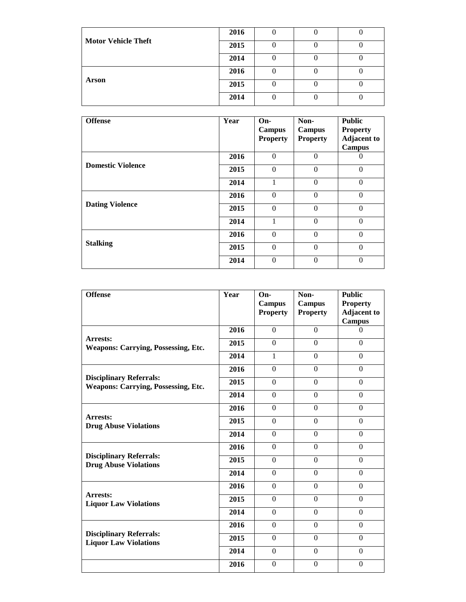|                            | 2016 |  |  |
|----------------------------|------|--|--|
| <b>Motor Vehicle Theft</b> | 2015 |  |  |
|                            | 2014 |  |  |
|                            | 2016 |  |  |
| <b>Arson</b>               | 2015 |  |  |
|                            | 2014 |  |  |

| <b>Offense</b>           | Year | $On-$<br>Campus<br><b>Property</b> | Non-<br><b>Campus</b><br><b>Property</b> | <b>Public</b><br><b>Property</b><br><b>Adjacent to</b><br><b>Campus</b> |
|--------------------------|------|------------------------------------|------------------------------------------|-------------------------------------------------------------------------|
| <b>Domestic Violence</b> | 2016 | $\Omega$                           | $\theta$                                 |                                                                         |
|                          | 2015 | $\Omega$                           | $\theta$                                 | $\Omega$                                                                |
|                          | 2014 |                                    | $\theta$                                 | $\theta$                                                                |
|                          | 2016 | $\Omega$                           | $\theta$                                 | $\Omega$                                                                |
| <b>Dating Violence</b>   | 2015 | $\Omega$                           | $\mathbf{0}$                             | $\Omega$                                                                |
|                          | 2014 |                                    | $\mathbf{0}$                             | $\theta$                                                                |
|                          | 2016 | $\theta$                           | $\Omega$                                 | $\Omega$                                                                |
| <b>Stalking</b>          | 2015 | $\Omega$                           | $\theta$                                 | $\Omega$                                                                |
|                          | 2014 | $\Omega$                           | $\theta$                                 | $\theta$                                                                |

| <b>Offense</b>                                                               | Year | $On-$<br><b>Campus</b><br><b>Property</b> | Non-<br><b>Campus</b><br><b>Property</b> | <b>Public</b><br><b>Property</b><br><b>Adjacent to</b><br><b>Campus</b> |
|------------------------------------------------------------------------------|------|-------------------------------------------|------------------------------------------|-------------------------------------------------------------------------|
|                                                                              | 2016 | $\Omega$                                  | $\Omega$                                 | $\Omega$                                                                |
| Arrests:<br><b>Weapons: Carrying, Possessing, Etc.</b>                       | 2015 | $\Omega$                                  | $\Omega$                                 | $\Omega$                                                                |
|                                                                              | 2014 | 1                                         | $\overline{0}$                           | $\mathbf{0}$                                                            |
| <b>Disciplinary Referrals:</b><br><b>Weapons: Carrying, Possessing, Etc.</b> | 2016 | $\Omega$                                  | $\Omega$                                 | $\Omega$                                                                |
|                                                                              | 2015 | $\Omega$                                  | $\Omega$                                 | $\Omega$                                                                |
|                                                                              | 2014 | $\overline{0}$                            | $\Omega$                                 | $\Omega$                                                                |
|                                                                              | 2016 | $\Omega$                                  | $\Omega$                                 | $\Omega$                                                                |
| Arrests:<br><b>Drug Abuse Violations</b>                                     | 2015 | $\Omega$                                  | $\Omega$                                 | $\Omega$                                                                |
|                                                                              | 2014 | $\Omega$                                  | $\Omega$                                 | $\Omega$                                                                |
|                                                                              | 2016 | $\Omega$                                  | $\Omega$                                 | $\Omega$                                                                |
| <b>Disciplinary Referrals:</b><br><b>Drug Abuse Violations</b>               | 2015 | $\Omega$                                  | $\Omega$                                 | $\mathbf{0}$                                                            |
|                                                                              | 2014 | $\Omega$                                  | $\Omega$                                 | $\mathbf{0}$                                                            |
|                                                                              | 2016 | $\Omega$                                  | $\Omega$                                 | $\Omega$                                                                |
| Arrests:<br><b>Liquor Law Violations</b>                                     | 2015 | $\Omega$                                  | $\theta$                                 | $\mathbf{0}$                                                            |
|                                                                              | 2014 | $\Omega$                                  | $\theta$                                 | $\Omega$                                                                |
|                                                                              | 2016 | $\Omega$                                  | $\Omega$                                 | $\Omega$                                                                |
| <b>Disciplinary Referrals:</b><br><b>Liquor Law Violations</b>               | 2015 | $\Omega$                                  | $\overline{0}$                           | $\mathbf{0}$                                                            |
|                                                                              | 2014 | $\Omega$                                  | $\Omega$                                 | $\Omega$                                                                |
|                                                                              | 2016 | $\Omega$                                  | $\boldsymbol{0}$                         | $\boldsymbol{0}$                                                        |